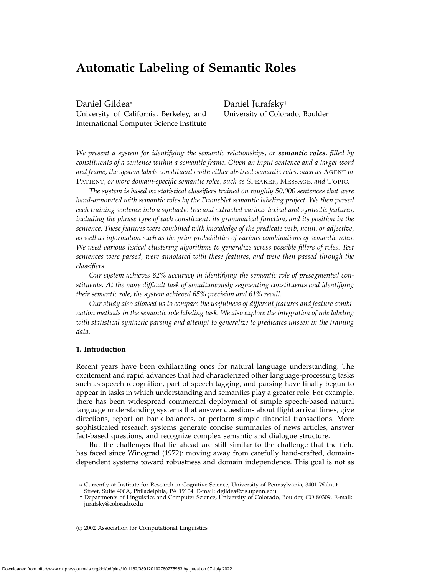# **Automatic Labeling of Semantic Roles**

Daniel Gildea<sup>∗</sup> Daniel Jurafsky† University of California, Berkeley, and International Computer Science Institute

University of Colorado, Boulder

*We present a system for identifying the semantic relationships, or semantic roles, filled by constituents of a sentence within a semantic frame. Given an input sentence and a target word and frame, the system labels constituents with either abstract semantic roles, such as* Agent *or* Patient*, or more domain-specific semantic roles, such as* Speaker*,* Message*, and* Topic*.*

*The system is based on statistical classifiers trained on roughly 50,000 sentences that were hand-annotated with semantic roles by the FrameNet semantic labeling project. We then parsed each training sentence into a syntactic tree and extracted various lexical and syntactic features, including the phrase type of each constituent, its grammatical function, and its position in the sentence. These features were combined with knowledge of the predicate verb, noun, or adjective, as well as information such as the prior probabilities of various combinations of semantic roles. We used various lexical clustering algorithms to generalize across possible fillers of roles. Test sentences were parsed, were annotated with these features, and were then passed through the classifiers.*

*Our system achieves 82% accuracy in identifying the semantic role of presegmented constituents. At the more difficult task of simultaneously segmenting constituents and identifying their semantic role, the system achieved 65% precision and 61% recall.*

*Our study also allowed us to compare the usefulness of different features and feature combination methods in the semantic role labeling task. We also explore the integration of role labeling with statistical syntactic parsing and attempt to generalize to predicates unseen in the training data.*

### **1. Introduction**

Recent years have been exhilarating ones for natural language understanding. The excitement and rapid advances that had characterized other language-processing tasks such as speech recognition, part-of-speech tagging, and parsing have finally begun to appear in tasks in which understanding and semantics play a greater role. For example, there has been widespread commercial deployment of simple speech-based natural language understanding systems that answer questions about flight arrival times, give directions, report on bank balances, or perform simple financial transactions. More sophisticated research systems generate concise summaries of news articles, answer fact-based questions, and recognize complex semantic and dialogue structure.

But the challenges that lie ahead are still similar to the challenge that the field has faced since Winograd (1972): moving away from carefully hand-crafted, domaindependent systems toward robustness and domain independence. This goal is not as

<sup>∗</sup> Currently at Institute for Research in Cognitive Science, University of Pennsylvania, 3401 Walnut Street, Suite 400A, Philadelphia, PA 19104. E-mail: dgildea@cis.upenn.edu

<sup>†</sup> Departments of Linguistics and Computer Science, University of Colorado, Boulder, CO 80309. E-mail: jurafsky@colorado.edu

c 2002 Association for Computational Linguistics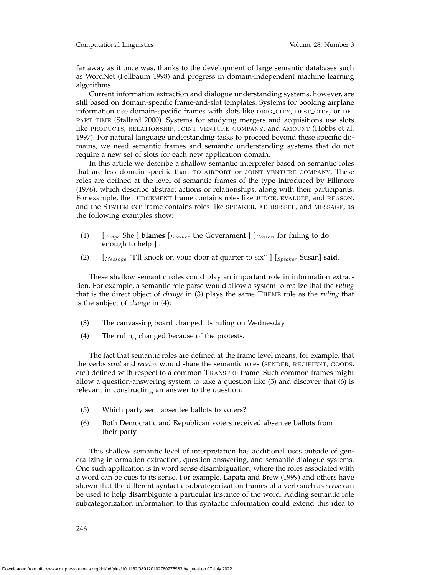Computational Linguistics Volume 28, Number 3

far away as it once was, thanks to the development of large semantic databases such as WordNet (Fellbaum 1998) and progress in domain-independent machine learning algorithms.

Current information extraction and dialogue understanding systems, however, are still based on domain-specific frame-and-slot templates. Systems for booking airplane information use domain-specific frames with slots like ORIG\_CITY, DEST\_CITY, or DE-PART\_TIME (Stallard 2000). Systems for studying mergers and acquisitions use slots like PRODUCTS, RELATIONSHIP, JOINT VENTURE COMPANY, and AMOUNT (Hobbs et al. 1997). For natural language understanding tasks to proceed beyond these specific domains, we need semantic frames and semantic understanding systems that do not require a new set of slots for each new application domain.

In this article we describe a shallow semantic interpreter based on semantic roles that are less domain specific than TO\_AIRPORT or JOINT\_VENTURE\_COMPANY. These roles are defined at the level of semantic frames of the type introduced by Fillmore (1976), which describe abstract actions or relationships, along with their participants. For example, the JUDGEMENT frame contains roles like JUDGE, EVALUEE, and REASON, and the STATEMENT frame contains roles like SPEAKER, ADDRESSEE, and MESSAGE, as the following examples show:

- (1)  $[J_{\text{u} \text{d} \text{g}} \in \text{She }]$  **blames**  $[I_{\text{value}} \in \text{the Government }] [I_{\text{Reason}} \in \text{far }]$  for failing to do enough to help ] .
- (2)  $\left[\begin{array}{cc}Message\\Hline\end{array}\right]$  (Nessage "I'll knock on your door at quarter to six"  $\left[\begin{array}{cc}Speaker\end{array}\right]$  Susan] said.

These shallow semantic roles could play an important role in information extraction. For example, a semantic role parse would allow a system to realize that the *ruling* that is the direct object of *change* in (3) plays the same Theme role as the *ruling* that is the subject of *change* in (4):

- (3) The canvassing board changed its ruling on Wednesday.
- (4) The ruling changed because of the protests.

The fact that semantic roles are defined at the frame level means, for example, that the verbs *send* and *receive* would share the semantic roles (SENDER, RECIPIENT, GOODS, etc.) defined with respect to a common Transfer frame. Such common frames might allow a question-answering system to take a question like (5) and discover that (6) is relevant in constructing an answer to the question:

- (5) Which party sent absentee ballots to voters?
- (6) Both Democratic and Republican voters received absentee ballots from their party.

This shallow semantic level of interpretation has additional uses outside of generalizing information extraction, question answering, and semantic dialogue systems. One such application is in word sense disambiguation, where the roles associated with a word can be cues to its sense. For example, Lapata and Brew (1999) and others have shown that the different syntactic subcategorization frames of a verb such as *serve* can be used to help disambiguate a particular instance of the word. Adding semantic role subcategorization information to this syntactic information could extend this idea to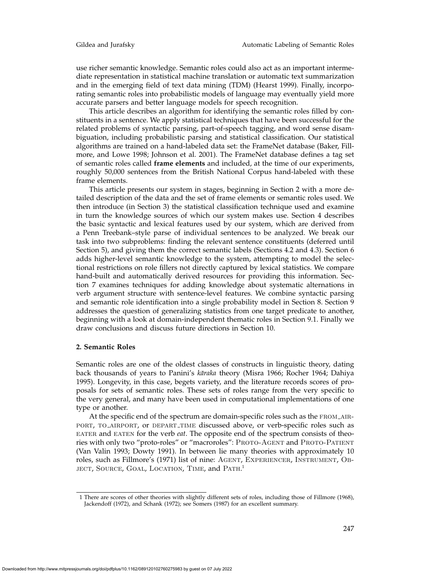use richer semantic knowledge. Semantic roles could also act as an important intermediate representation in statistical machine translation or automatic text summarization and in the emerging field of text data mining (TDM) (Hearst 1999). Finally, incorporating semantic roles into probabilistic models of language may eventually yield more accurate parsers and better language models for speech recognition.

This article describes an algorithm for identifying the semantic roles filled by constituents in a sentence. We apply statistical techniques that have been successful for the related problems of syntactic parsing, part-of-speech tagging, and word sense disambiguation, including probabilistic parsing and statistical classification. Our statistical algorithms are trained on a hand-labeled data set: the FrameNet database (Baker, Fillmore, and Lowe 1998; Johnson et al. 2001). The FrameNet database defines a tag set of semantic roles called **frame elements** and included, at the time of our experiments, roughly 50,000 sentences from the British National Corpus hand-labeled with these frame elements.

This article presents our system in stages, beginning in Section 2 with a more detailed description of the data and the set of frame elements or semantic roles used. We then introduce (in Section 3) the statistical classification technique used and examine in turn the knowledge sources of which our system makes use. Section 4 describes the basic syntactic and lexical features used by our system, which are derived from a Penn Treebank–style parse of individual sentences to be analyzed. We break our task into two subproblems: finding the relevant sentence constituents (deferred until Section 5), and giving them the correct semantic labels (Sections 4.2 and 4.3). Section 6 adds higher-level semantic knowledge to the system, attempting to model the selectional restrictions on role fillers not directly captured by lexical statistics. We compare hand-built and automatically derived resources for providing this information. Section 7 examines techniques for adding knowledge about systematic alternations in verb argument structure with sentence-level features. We combine syntactic parsing and semantic role identification into a single probability model in Section 8. Section 9 addresses the question of generalizing statistics from one target predicate to another, beginning with a look at domain-independent thematic roles in Section 9.1. Finally we draw conclusions and discuss future directions in Section 10.

# **2. Semantic Roles**

Semantic roles are one of the oldest classes of constructs in linguistic theory, dating back thousands of years to Panini's *kāraka* theory (Misra 1966; Rocher 1964; Dahiya 1995). Longevity, in this case, begets variety, and the literature records scores of proposals for sets of semantic roles. These sets of roles range from the very specific to the very general, and many have been used in computational implementations of one type or another.

At the specific end of the spectrum are domain-specific roles such as the FROM\_AIRport, to airport, or depart time discussed above, or verb-specific roles such as EATER and EATEN for the verb *eat*. The opposite end of the spectrum consists of theories with only two "proto-roles" or "macroroles": PROTO-AGENT and PROTO-PATIENT (Van Valin 1993; Dowty 1991). In between lie many theories with approximately 10 roles, such as Fillmore's (1971) list of nine: AGENT, EXPERIENCER, INSTRUMENT, OB-JECT, SOURCE, GOAL, LOCATION, TIME, and PATH.<sup>1</sup>

<sup>1</sup> There are scores of other theories with slightly different sets of roles, including those of Fillmore (1968), Jackendoff (1972), and Schank (1972); see Somers (1987) for an excellent summary.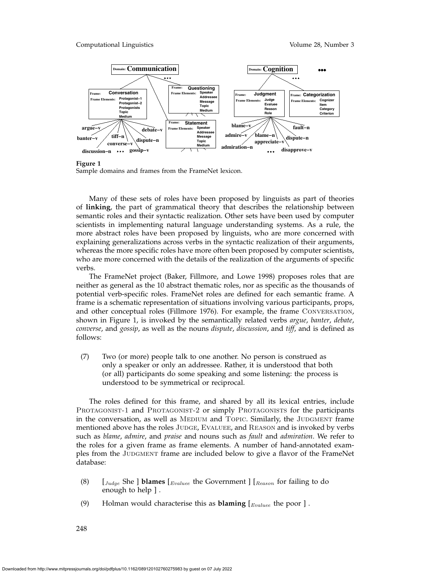#### Computational Linguistics Volume 28, Number 3



**Figure 1**

Sample domains and frames from the FrameNet lexicon.

Many of these sets of roles have been proposed by linguists as part of theories of **linking**, the part of grammatical theory that describes the relationship between semantic roles and their syntactic realization. Other sets have been used by computer scientists in implementing natural language understanding systems. As a rule, the more abstract roles have been proposed by linguists, who are more concerned with explaining generalizations across verbs in the syntactic realization of their arguments, whereas the more specific roles have more often been proposed by computer scientists, who are more concerned with the details of the realization of the arguments of specific verbs.

The FrameNet project (Baker, Fillmore, and Lowe 1998) proposes roles that are neither as general as the 10 abstract thematic roles, nor as specific as the thousands of potential verb-specific roles. FrameNet roles are defined for each semantic frame. A frame is a schematic representation of situations involving various participants, props, and other conceptual roles (Fillmore 1976). For example, the frame Conversation, shown in Figure 1, is invoked by the semantically related verbs *argue*, *banter*, *debate*, *converse*, and *gossip*, as well as the nouns *dispute*, *discussion*, and *tiff*, and is defined as follows:

(7) Two (or more) people talk to one another. No person is construed as only a speaker or only an addressee. Rather, it is understood that both (or all) participants do some speaking and some listening: the process is understood to be symmetrical or reciprocal.

The roles defined for this frame, and shared by all its lexical entries, include PROTAGONIST-1 and PROTAGONIST-2 or simply PROTAGONISTS for the participants in the conversation, as well as MEDIUM and TOPIC. Similarly, the JUDGMENT frame mentioned above has the roles JUDGE, EVALUEE, and REASON and is invoked by verbs such as *blame*, *admire*, and *praise* and nouns such as *fault* and *admiration*. We refer to the roles for a given frame as frame elements. A number of hand-annotated examples from the JUDGMENT frame are included below to give a flavor of the FrameNet database:

- (8)  $[J_{\text{ulge}}]$  She ] **blames**  $[I_{\text{value}}]$  the Government ]  $[I_{\text{Reason}}]$  for failing to do enough to help ] .
- (9) Holman would characterise this as **blaming**  $[E_{value}$  the poor  $]$ .

248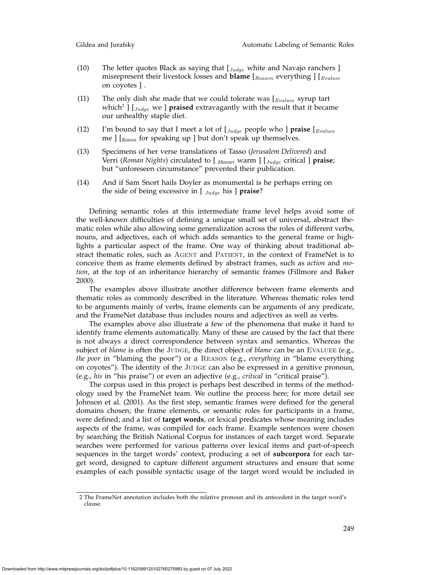- (10) The letter quotes Black as saying that  $J_{\nu d q e}$  white and Navajo ranchers ] misrepresent their livestock losses and **blame**  $[R_{reason}$  everything  $]$   $[\_E_{value}$ on coyotes ] .
- (11) The only dish she made that we could tolerate was  $[*Evaluate*$  syrup tart which<sup>2</sup> ]  $J_{\text{Judge}}$  we ] **praised** extravagantly with the result that it became our unhealthy staple diet.
- (12) I'm bound to say that I meet a lot of  $[\iint_{\text{u}dge}]$  people who  $]$  **praise**  $[\iint_{\text{Evaluate}}]$ me ] [*Reason* for speaking up ] but don't speak up themselves.
- (13) Specimens of her verse translations of Tasso (*Jerusalem Delivered*) and Verri (*Roman Nights*) circulated to [ *Manner* warm ] [Judge critical ] **praise**; but "unforeseen circumstance" prevented their publication.
- (14) And if Sam Snort hails Doyler as monumental is he perhaps erring on the side of being excessive in [ Judge his ] **praise**?

Defining semantic roles at this intermediate frame level helps avoid some of the well-known difficulties of defining a unique small set of universal, abstract thematic roles while also allowing some generalization across the roles of different verbs, nouns, and adjectives, each of which adds semantics to the general frame or highlights a particular aspect of the frame. One way of thinking about traditional abstract thematic roles, such as AGENT and PATIENT, in the context of FrameNet is to conceive them as frame elements defined by abstract frames, such as *action* and *motion*, at the top of an inheritance hierarchy of semantic frames (Fillmore and Baker 2000).

The examples above illustrate another difference between frame elements and thematic roles as commonly described in the literature. Whereas thematic roles tend to be arguments mainly of verbs, frame elements can be arguments of any predicate, and the FrameNet database thus includes nouns and adjectives as well as verbs.

The examples above also illustrate a few of the phenomena that make it hard to identify frame elements automatically. Many of these are caused by the fact that there is not always a direct correspondence between syntax and semantics. Whereas the subject of *blame* is often the JUDGE, the direct object of *blame* can be an EVALUEE (e.g., *the poor* in "blaming the poor") or a Reason (e.g., *everything* in "blame everything on coyotes"). The identity of the JUDGE can also be expressed in a genitive pronoun, (e.g., *his* in "his praise") or even an adjective (e.g., *critical* in "critical praise").

The corpus used in this project is perhaps best described in terms of the methodology used by the FrameNet team. We outline the process here; for more detail see Johnson et al. (2001). As the first step, semantic frames were defined for the general domains chosen; the frame elements, or semantic roles for participants in a frame, were defined; and a list of **target words**, or lexical predicates whose meaning includes aspects of the frame, was compiled for each frame. Example sentences were chosen by searching the British National Corpus for instances of each target word. Separate searches were performed for various patterns over lexical items and part-of-speech sequences in the target words' context, producing a set of **subcorpora** for each target word, designed to capture different argument structures and ensure that some examples of each possible syntactic usage of the target word would be included in

<sup>2</sup> The FrameNet annotation includes both the relative pronoun and its antecedent in the target word's clause.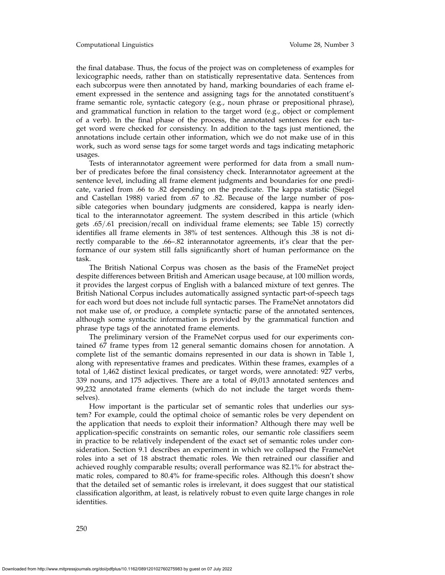the final database. Thus, the focus of the project was on completeness of examples for lexicographic needs, rather than on statistically representative data. Sentences from each subcorpus were then annotated by hand, marking boundaries of each frame element expressed in the sentence and assigning tags for the annotated constituent's frame semantic role, syntactic category (e.g., noun phrase or prepositional phrase), and grammatical function in relation to the target word (e.g., object or complement of a verb). In the final phase of the process, the annotated sentences for each target word were checked for consistency. In addition to the tags just mentioned, the annotations include certain other information, which we do not make use of in this work, such as word sense tags for some target words and tags indicating metaphoric usages.

Tests of interannotator agreement were performed for data from a small number of predicates before the final consistency check. Interannotator agreement at the sentence level, including all frame element judgments and boundaries for one predicate, varied from .66 to .82 depending on the predicate. The kappa statistic (Siegel and Castellan 1988) varied from .67 to .82. Because of the large number of possible categories when boundary judgments are considered, kappa is nearly identical to the interannotator agreement. The system described in this article (which gets .65/.61 precision/recall on individual frame elements; see Table 15) correctly identifies all frame elements in 38% of test sentences. Although this .38 is not directly comparable to the .66–.82 interannotator agreements, it's clear that the performance of our system still falls significantly short of human performance on the task.

The British National Corpus was chosen as the basis of the FrameNet project despite differences between British and American usage because, at 100 million words, it provides the largest corpus of English with a balanced mixture of text genres. The British National Corpus includes automatically assigned syntactic part-of-speech tags for each word but does not include full syntactic parses. The FrameNet annotators did not make use of, or produce, a complete syntactic parse of the annotated sentences, although some syntactic information is provided by the grammatical function and phrase type tags of the annotated frame elements.

The preliminary version of the FrameNet corpus used for our experiments contained 67 frame types from 12 general semantic domains chosen for annotation. A complete list of the semantic domains represented in our data is shown in Table 1, along with representative frames and predicates. Within these frames, examples of a total of 1,462 distinct lexical predicates, or target words, were annotated: 927 verbs, 339 nouns, and 175 adjectives. There are a total of 49,013 annotated sentences and 99,232 annotated frame elements (which do not include the target words themselves).

How important is the particular set of semantic roles that underlies our system? For example, could the optimal choice of semantic roles be very dependent on the application that needs to exploit their information? Although there may well be application-specific constraints on semantic roles, our semantic role classifiers seem in practice to be relatively independent of the exact set of semantic roles under consideration. Section 9.1 describes an experiment in which we collapsed the FrameNet roles into a set of 18 abstract thematic roles. We then retrained our classifier and achieved roughly comparable results; overall performance was 82.1% for abstract thematic roles, compared to 80.4% for frame-specific roles. Although this doesn't show that the detailed set of semantic roles is irrelevant, it does suggest that our statistical classification algorithm, at least, is relatively robust to even quite large changes in role identities.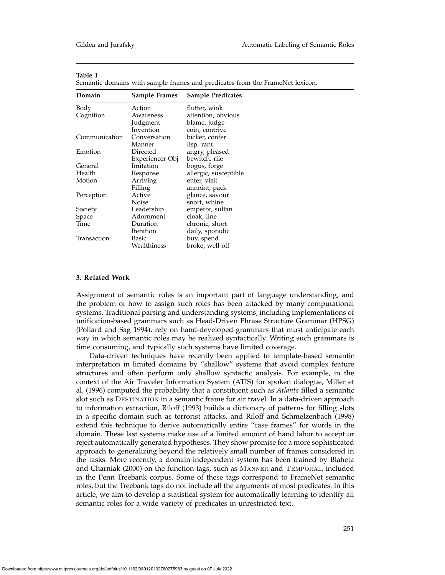| anı |  |
|-----|--|
|-----|--|

Semantic domains with sample frames and predicates from the FrameNet lexicon.

| Domain        | <b>Sample Frames</b> | <b>Sample Predicates</b> |
|---------------|----------------------|--------------------------|
| Body          | Action               | flutter, wink            |
| Cognition     | Awareness            | attention, obvious       |
|               | Judgment             | blame, judge             |
|               | Invention            | coin, contrive           |
| Communication | Conversation         | bicker, confer           |
|               | Manner               | lisp, rant               |
| Emotion       | Directed             | angry, pleased           |
|               | Experiencer-Obj      | bewitch, rile            |
| General       | Imitation            | bogus, forge             |
| Health        | Response             | allergic, susceptible    |
| Motion        | Arriving             | enter, visit             |
|               | Filling              | annoint, pack            |
| Perception    | Active               | glance, savour           |
|               | Noise                | snort, whine             |
| Society       | Leadership           | emperor, sultan          |
| Space         | Adornment            | cloak, line              |
| Time          | Duration             | chronic, short           |
|               | Iteration            | daily, sporadic          |
| Transaction   | Basic                | buy, spend               |
|               | Wealthiness          | broke, well-off          |

#### **3. Related Work**

Assignment of semantic roles is an important part of language understanding, and the problem of how to assign such roles has been attacked by many computational systems. Traditional parsing and understanding systems, including implementations of unification-based grammars such as Head-Driven Phrase Structure Grammar (HPSG) (Pollard and Sag 1994), rely on hand-developed grammars that must anticipate each way in which semantic roles may be realized syntactically. Writing such grammars is time consuming, and typically such systems have limited coverage.

Data-driven techniques have recently been applied to template-based semantic interpretation in limited domains by "shallow" systems that avoid complex feature structures and often perform only shallow syntactic analysis. For example, in the context of the Air Traveler Information System (ATIS) for spoken dialogue, Miller et al. (1996) computed the probability that a constituent such as *Atlanta* filled a semantic slot such as DESTINATION in a semantic frame for air travel. In a data-driven approach to information extraction, Riloff (1993) builds a dictionary of patterns for filling slots in a specific domain such as terrorist attacks, and Riloff and Schmelzenbach (1998) extend this technique to derive automatically entire "case frames" for words in the domain. These last systems make use of a limited amount of hand labor to accept or reject automatically generated hypotheses. They show promise for a more sophisticated approach to generalizing beyond the relatively small number of frames considered in the tasks. More recently, a domain-independent system has been trained by Blaheta and Charniak (2000) on the function tags, such as Manner and Temporal, included in the Penn Treebank corpus. Some of these tags correspond to FrameNet semantic roles, but the Treebank tags do not include all the arguments of most predicates. In this article, we aim to develop a statistical system for automatically learning to identify all semantic roles for a wide variety of predicates in unrestricted text.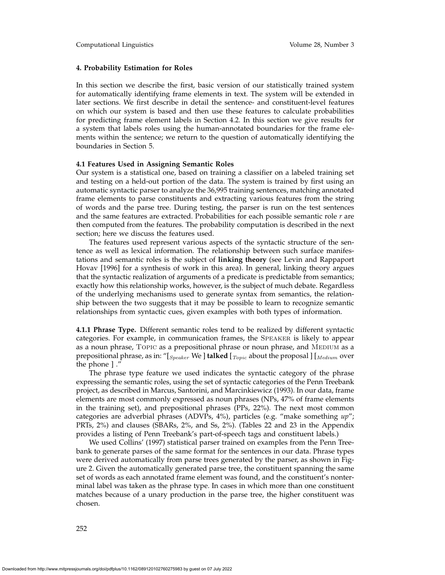### **4. Probability Estimation for Roles**

In this section we describe the first, basic version of our statistically trained system for automatically identifying frame elements in text. The system will be extended in later sections. We first describe in detail the sentence- and constituent-level features on which our system is based and then use these features to calculate probabilities for predicting frame element labels in Section 4.2. In this section we give results for a system that labels roles using the human-annotated boundaries for the frame elements within the sentence; we return to the question of automatically identifying the boundaries in Section 5.

#### **4.1 Features Used in Assigning Semantic Roles**

Our system is a statistical one, based on training a classifier on a labeled training set and testing on a held-out portion of the data. The system is trained by first using an automatic syntactic parser to analyze the 36,995 training sentences, matching annotated frame elements to parse constituents and extracting various features from the string of words and the parse tree. During testing, the parser is run on the test sentences and the same features are extracted. Probabilities for each possible semantic role *r* are then computed from the features. The probability computation is described in the next section; here we discuss the features used.

The features used represent various aspects of the syntactic structure of the sentence as well as lexical information. The relationship between such surface manifestations and semantic roles is the subject of **linking theory** (see Levin and Rappaport Hovav [1996] for a synthesis of work in this area). In general, linking theory argues that the syntactic realization of arguments of a predicate is predictable from semantics; exactly how this relationship works, however, is the subject of much debate. Regardless of the underlying mechanisms used to generate syntax from semantics, the relationship between the two suggests that it may be possible to learn to recognize semantic relationships from syntactic cues, given examples with both types of information.

**4.1.1 Phrase Type.** Different semantic roles tend to be realized by different syntactic categories. For example, in communication frames, the Speaker is likely to appear as a noun phrase, TOPIC as a prepositional phrase or noun phrase, and MEDIUM as a prepositional phrase, as in: "[ $_{Speaker}$  We ] **talked** [ $_{Topic}$  about the proposal ] [ $_{Medium}$  over the phone ] ."

The phrase type feature we used indicates the syntactic category of the phrase expressing the semantic roles, using the set of syntactic categories of the Penn Treebank project, as described in Marcus, Santorini, and Marcinkiewicz (1993). In our data, frame elements are most commonly expressed as noun phrases (NPs, 47% of frame elements in the training set), and prepositional phrases (PPs, 22%). The next most common categories are adverbial phrases (ADVPs, 4%), particles (e.g. "make something *up*"; PRTs, 2%) and clauses (SBARs, 2%, and Ss, 2%). (Tables 22 and 23 in the Appendix provides a listing of Penn Treebank's part-of-speech tags and constituent labels.)

We used Collins' (1997) statistical parser trained on examples from the Penn Treebank to generate parses of the same format for the sentences in our data. Phrase types were derived automatically from parse trees generated by the parser, as shown in Figure 2. Given the automatically generated parse tree, the constituent spanning the same set of words as each annotated frame element was found, and the constituent's nonterminal label was taken as the phrase type. In cases in which more than one constituent matches because of a unary production in the parse tree, the higher constituent was chosen.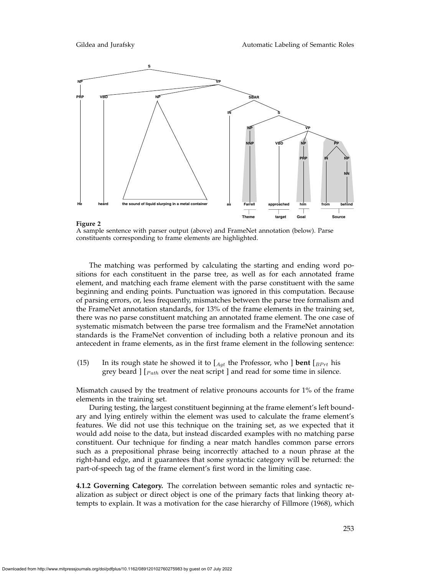

**Figure 2**

A sample sentence with parser output (above) and FrameNet annotation (below). Parse constituents corresponding to frame elements are highlighted.

The matching was performed by calculating the starting and ending word positions for each constituent in the parse tree, as well as for each annotated frame element, and matching each frame element with the parse constituent with the same beginning and ending points. Punctuation was ignored in this computation. Because of parsing errors, or, less frequently, mismatches between the parse tree formalism and the FrameNet annotation standards, for 13% of the frame elements in the training set, there was no parse constituent matching an annotated frame element. The one case of systematic mismatch between the parse tree formalism and the FrameNet annotation standards is the FrameNet convention of including both a relative pronoun and its antecedent in frame elements, as in the first frame element in the following sentence:

(15) In its rough state he showed it to  $A_{gt}$  the Professor, who ] **bent**  $B_{Prt}$  his grey beard  $\prod_{Path}$  over the neat script ] and read for some time in silence.

Mismatch caused by the treatment of relative pronouns accounts for 1% of the frame elements in the training set.

During testing, the largest constituent beginning at the frame element's left boundary and lying entirely within the element was used to calculate the frame element's features. We did not use this technique on the training set, as we expected that it would add noise to the data, but instead discarded examples with no matching parse constituent. Our technique for finding a near match handles common parse errors such as a prepositional phrase being incorrectly attached to a noun phrase at the right-hand edge, and it guarantees that some syntactic category will be returned: the part-of-speech tag of the frame element's first word in the limiting case.

**4.1.2 Governing Category.** The correlation between semantic roles and syntactic realization as subject or direct object is one of the primary facts that linking theory attempts to explain. It was a motivation for the case hierarchy of Fillmore (1968), which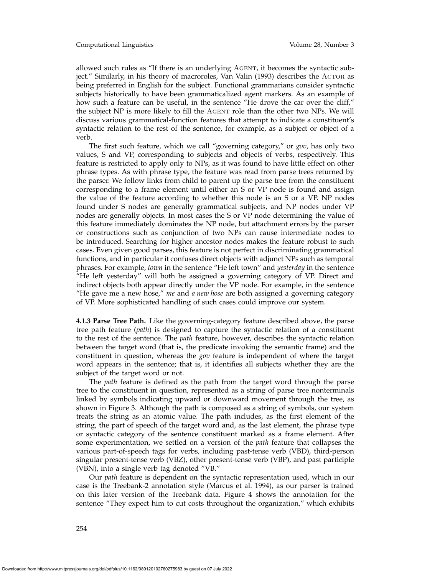allowed such rules as "If there is an underlying AGENT, it becomes the syntactic subject." Similarly, in his theory of macroroles, Van Valin (1993) describes the Actor as being preferred in English for the subject. Functional grammarians consider syntactic subjects historically to have been grammaticalized agent markers. As an example of how such a feature can be useful, in the sentence "He drove the car over the cliff," the subject NP is more likely to fill the Agent role than the other two NPs. We will discuss various grammatical-function features that attempt to indicate a constituent's syntactic relation to the rest of the sentence, for example, as a subject or object of a verb.

The first such feature, which we call "governing category," or *gov*, has only two values, S and VP, corresponding to subjects and objects of verbs, respectively. This feature is restricted to apply only to NPs, as it was found to have little effect on other phrase types. As with phrase type, the feature was read from parse trees returned by the parser. We follow links from child to parent up the parse tree from the constituent corresponding to a frame element until either an S or VP node is found and assign the value of the feature according to whether this node is an S or a VP. NP nodes found under S nodes are generally grammatical subjects, and NP nodes under VP nodes are generally objects. In most cases the S or VP node determining the value of this feature immediately dominates the NP node, but attachment errors by the parser or constructions such as conjunction of two NPs can cause intermediate nodes to be introduced. Searching for higher ancestor nodes makes the feature robust to such cases. Even given good parses, this feature is not perfect in discriminating grammatical functions, and in particular it confuses direct objects with adjunct NPs such as temporal phrases. For example, *town* in the sentence "He left town" and *yesterday* in the sentence "He left yesterday" will both be assigned a governing category of VP. Direct and indirect objects both appear directly under the VP node. For example, in the sentence "He gave me a new hose," *me* and *a new hose* are both assigned a governing category of VP. More sophisticated handling of such cases could improve our system.

**4.1.3 Parse Tree Path.** Like the governing-category feature described above, the parse tree path feature (*path*) is designed to capture the syntactic relation of a constituent to the rest of the sentence. The *path* feature, however, describes the syntactic relation between the target word (that is, the predicate invoking the semantic frame) and the constituent in question, whereas the *gov* feature is independent of where the target word appears in the sentence; that is, it identifies all subjects whether they are the subject of the target word or not.

The *path* feature is defined as the path from the target word through the parse tree to the constituent in question, represented as a string of parse tree nonterminals linked by symbols indicating upward or downward movement through the tree, as shown in Figure 3. Although the path is composed as a string of symbols, our system treats the string as an atomic value. The path includes, as the first element of the string, the part of speech of the target word and, as the last element, the phrase type or syntactic category of the sentence constituent marked as a frame element. After some experimentation, we settled on a version of the *path* feature that collapses the various part-of-speech tags for verbs, including past-tense verb (VBD), third-person singular present-tense verb (VBZ), other present-tense verb (VBP), and past participle (VBN), into a single verb tag denoted "VB."

Our *path* feature is dependent on the syntactic representation used, which in our case is the Treebank-2 annotation style (Marcus et al. 1994), as our parser is trained on this later version of the Treebank data. Figure 4 shows the annotation for the sentence "They expect him to cut costs throughout the organization," which exhibits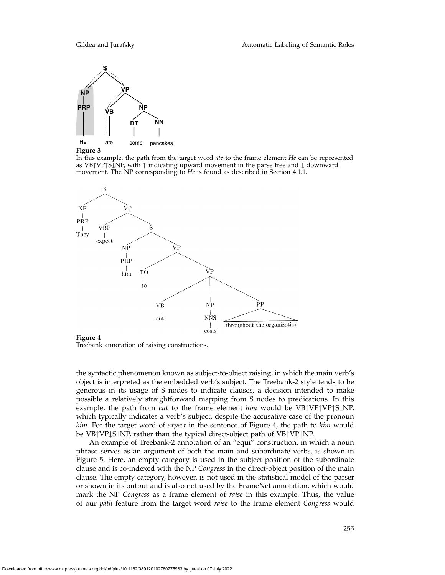

**Figure 3**

In this example, the path from the target word *ate* to the frame element *He* can be represented as VB↑VP↑S↓NP, with ↑ indicating upward movement in the parse tree and ↓ downward movement. The NP corresponding to *He* is found as described in Section 4.1.1.



Treebank annotation of raising constructions.

the syntactic phenomenon known as subject-to-object raising, in which the main verb's object is interpreted as the embedded verb's subject. The Treebank-2 style tends to be generous in its usage of S nodes to indicate clauses, a decision intended to make possible a relatively straightforward mapping from S nodes to predications. In this example, the path from *cut* to the frame element *him* would be VB↑VP↑VP↑S↓NP, which typically indicates a verb's subject, despite the accusative case of the pronoun *him*. For the target word of *expect* in the sentence of Figure 4, the path to *him* would be VB↑VP↓S↓NP, rather than the typical direct-object path of VB↑VP↓NP.

An example of Treebank-2 annotation of an "equi" construction, in which a noun phrase serves as an argument of both the main and subordinate verbs, is shown in Figure 5. Here, an empty category is used in the subject position of the subordinate clause and is co-indexed with the NP *Congress* in the direct-object position of the main clause. The empty category, however, is not used in the statistical model of the parser or shown in its output and is also not used by the FrameNet annotation, which would mark the NP *Congress* as a frame element of *raise* in this example. Thus, the value of our *path* feature from the target word *raise* to the frame element *Congress* would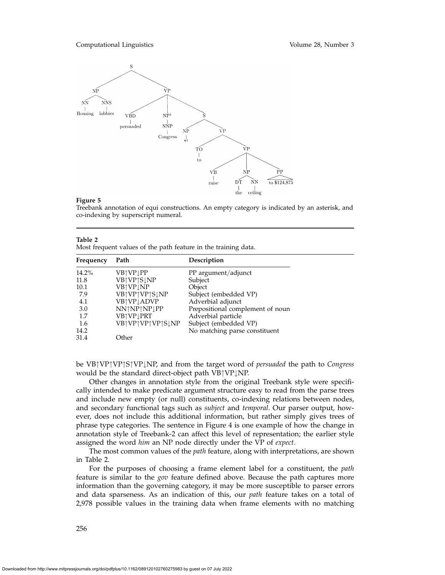#### Computational Linguistics Volume 28, Number 3



### **Figure 5**

**Table 2**

Treebank annotation of equi constructions. An empty category is indicated by an asterisk, and co-indexing by superscript numeral.

| Table 2 |  |                                                                |  |  |
|---------|--|----------------------------------------------------------------|--|--|
|         |  | Most frequent values of the path feature in the training data. |  |  |

| Frequency | Path                                              | Description                      |
|-----------|---------------------------------------------------|----------------------------------|
| 14.2%     | VB↑VP↓PP                                          | PP argument/adjunct              |
| 11.8      | VB <sub>1</sub> VP <sub>1</sub> S <sub>J</sub> NP | Subject                          |
| 10.1      | <b>VB</b> <sup>†</sup> VP <sub>L</sub> NP         | Object                           |
| 7.9       | VB†VP†VP†S↓NP                                     | Subject (embedded VP)            |
| 4.1       | <b>VB</b> <sup>†</sup> VP <sub>↓</sub> ADVP       | Adverbial adjunct                |
| 3.0       | NN↑NP↑NP↓PP                                       | Prepositional complement of noun |
| 1.7       | <b>VB↑VP↓PRT</b>                                  | Adverbial particle               |
| 1.6       | VB†VP†VP†VP†S↓NP                                  | Subject (embedded VP)            |
| 14.2      |                                                   | No matching parse constituent    |
| 31.4      | Other                                             |                                  |

be VB↑VP↑VP↑S↑VP↓NP, and from the target word of *persuaded* the path to *Congress* would be the standard direct-object path VB↑VP↓NP.

Other changes in annotation style from the original Treebank style were specifically intended to make predicate argument structure easy to read from the parse trees and include new empty (or null) constituents, co-indexing relations between nodes, and secondary functional tags such as *subject* and *temporal*. Our parser output, however, does not include this additional information, but rather simply gives trees of phrase type categories. The sentence in Figure 4 is one example of how the change in annotation style of Treebank-2 can affect this level of representation; the earlier style assigned the word *him* an NP node directly under the VP of *expect*.

The most common values of the *path* feature, along with interpretations, are shown in Table 2.

For the purposes of choosing a frame element label for a constituent, the *path* feature is similar to the *gov* feature defined above. Because the path captures more information than the governing category, it may be more susceptible to parser errors and data sparseness. As an indication of this, our *path* feature takes on a total of 2,978 possible values in the training data when frame elements with no matching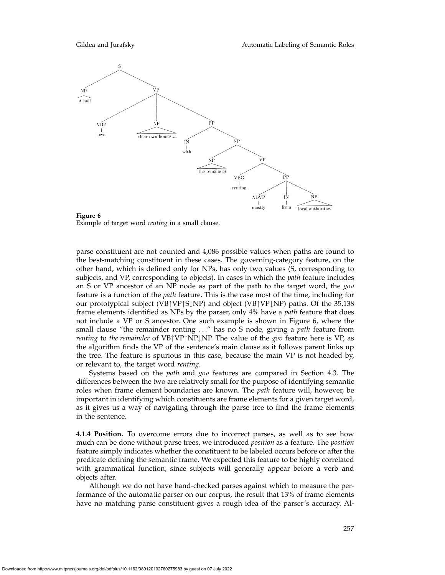



parse constituent are not counted and 4,086 possible values when paths are found to the best-matching constituent in these cases. The governing-category feature, on the other hand, which is defined only for NPs, has only two values (S, corresponding to subjects, and VP, corresponding to objects). In cases in which the *path* feature includes an S or VP ancestor of an NP node as part of the path to the target word, the *gov* feature is a function of the *path* feature. This is the case most of the time, including for our prototypical subject (VB↑VP↑S↓NP) and object (VB↑VP↓NP) paths. Of the 35,138 frame elements identified as NPs by the parser, only 4% have a *path* feature that does not include a VP or S ancestor. One such example is shown in Figure 6, where the small clause "the remainder renting ..." has no S node, giving a *path* feature from *renting* to *the remainder* of VB↑VP↑NP↓NP. The value of the *gov* feature here is VP, as the algorithm finds the VP of the sentence's main clause as it follows parent links up the tree. The feature is spurious in this case, because the main VP is not headed by, or relevant to, the target word *renting*.

Systems based on the *path* and *gov* features are compared in Section 4.3. The differences between the two are relatively small for the purpose of identifying semantic roles when frame element boundaries are known. The *path* feature will, however, be important in identifying which constituents are frame elements for a given target word, as it gives us a way of navigating through the parse tree to find the frame elements in the sentence.

**4.1.4 Position.** To overcome errors due to incorrect parses, as well as to see how much can be done without parse trees, we introduced *position* as a feature. The *position* feature simply indicates whether the constituent to be labeled occurs before or after the predicate defining the semantic frame. We expected this feature to be highly correlated with grammatical function, since subjects will generally appear before a verb and objects after.

Although we do not have hand-checked parses against which to measure the performance of the automatic parser on our corpus, the result that 13% of frame elements have no matching parse constituent gives a rough idea of the parser's accuracy. Al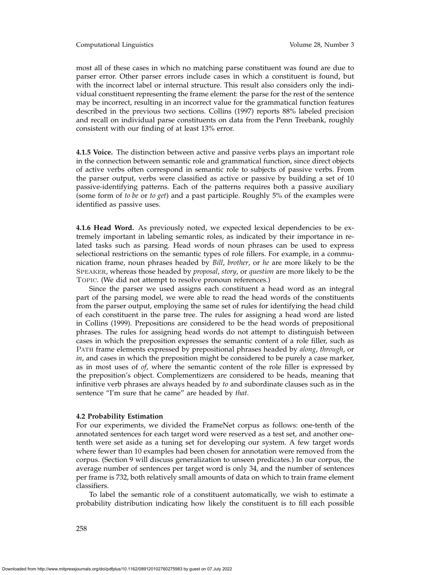Computational Linguistics Volume 28, Number 3

most all of these cases in which no matching parse constituent was found are due to parser error. Other parser errors include cases in which a constituent is found, but with the incorrect label or internal structure. This result also considers only the individual constituent representing the frame element: the parse for the rest of the sentence may be incorrect, resulting in an incorrect value for the grammatical function features described in the previous two sections. Collins (1997) reports 88% labeled precision and recall on individual parse constituents on data from the Penn Treebank, roughly consistent with our finding of at least 13% error.

**4.1.5 Voice.** The distinction between active and passive verbs plays an important role in the connection between semantic role and grammatical function, since direct objects of active verbs often correspond in semantic role to subjects of passive verbs. From the parser output, verbs were classified as active or passive by building a set of 10 passive-identifying patterns. Each of the patterns requires both a passive auxiliary (some form of *to be* or *to get*) and a past participle. Roughly 5% of the examples were identified as passive uses.

**4.1.6 Head Word.** As previously noted, we expected lexical dependencies to be extremely important in labeling semantic roles, as indicated by their importance in related tasks such as parsing. Head words of noun phrases can be used to express selectional restrictions on the semantic types of role fillers. For example, in a communication frame, noun phrases headed by *Bill*, *brother*, or *he* are more likely to be the Speaker, whereas those headed by *proposal*, *story*, or *question* are more likely to be the Topic. (We did not attempt to resolve pronoun references.)

Since the parser we used assigns each constituent a head word as an integral part of the parsing model, we were able to read the head words of the constituents from the parser output, employing the same set of rules for identifying the head child of each constituent in the parse tree. The rules for assigning a head word are listed in Collins (1999). Prepositions are considered to be the head words of prepositional phrases. The rules for assigning head words do not attempt to distinguish between cases in which the preposition expresses the semantic content of a role filler, such as Path frame elements expressed by prepositional phrases headed by *along*, *through*, or *in*, and cases in which the preposition might be considered to be purely a case marker, as in most uses of *of*, where the semantic content of the role filler is expressed by the preposition's object. Complementizers are considered to be heads, meaning that infinitive verb phrases are always headed by *to* and subordinate clauses such as in the sentence "I'm sure that he came" are headed by *that*.

#### **4.2 Probability Estimation**

For our experiments, we divided the FrameNet corpus as follows: one-tenth of the annotated sentences for each target word were reserved as a test set, and another onetenth were set aside as a tuning set for developing our system. A few target words where fewer than 10 examples had been chosen for annotation were removed from the corpus. (Section 9 will discuss generalization to unseen predicates.) In our corpus, the average number of sentences per target word is only 34, and the number of sentences per frame is 732, both relatively small amounts of data on which to train frame element classifiers.

To label the semantic role of a constituent automatically, we wish to estimate a probability distribution indicating how likely the constituent is to fill each possible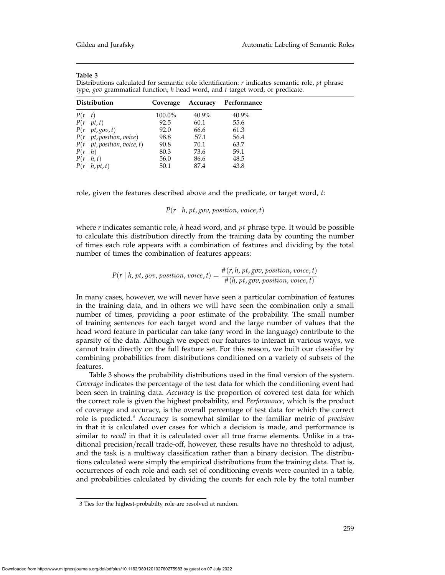| <b>Distribution</b>           | Coverage | Accuracy | Performance |
|-------------------------------|----------|----------|-------------|
| P(r   t)                      | 100.0%   | 40.9%    | 40.9%       |
| P(r   pt, t)                  | 92.5     | 60.1     | 55.6        |
| P(r   pt, gov, t)             | 92.0     | 66.6     | 61.3        |
| P(r   pt, position, voice)    | 98.8     | 57.1     | 56.4        |
| P(r   pt, position, voice, t) | 90.8     | 70.1     | 63.7        |
| P(r)<br>$\vert h \vert$       | 80.3     | 73.6     | 59.1        |
| P(r )<br>h, t)                | 56.0     | 86.6     | 48.5        |
| P(r   h, pt, t)               | 50.1     | 87.4     | 43.8        |

Distributions calculated for semantic role identification: *r* indicates semantic role, *pt* phrase type, *gov* grammatical function, *h* head word, and *t* target word, or predicate.

role, given the features described above and the predicate, or target word, *t*:

### $P(r | h, pt, gov, position, voice, t)$

where *r* indicates semantic role, *h* head word, and pt phrase type. It would be possible to calculate this distribution directly from the training data by counting the number of times each role appears with a combination of features and dividing by the total number of times the combination of features appears:

$$
P(r | h, pt, gov, position, voice, t) = \frac{\#(r, h, pt, gov, position, voice, t)}{\#(h, pt, gov, position, voice, t)}
$$

In many cases, however, we will never have seen a particular combination of features in the training data, and in others we will have seen the combination only a small number of times, providing a poor estimate of the probability. The small number of training sentences for each target word and the large number of values that the head word feature in particular can take (any word in the language) contribute to the sparsity of the data. Although we expect our features to interact in various ways, we cannot train directly on the full feature set. For this reason, we built our classifier by combining probabilities from distributions conditioned on a variety of subsets of the features.

Table 3 shows the probability distributions used in the final version of the system. *Coverage* indicates the percentage of the test data for which the conditioning event had been seen in training data. *Accuracy* is the proportion of covered test data for which the correct role is given the highest probability, and *Performance*, which is the product of coverage and accuracy, is the overall percentage of test data for which the correct role is predicted.3 Accuracy is somewhat similar to the familiar metric of *precision* in that it is calculated over cases for which a decision is made, and performance is similar to *recall* in that it is calculated over all true frame elements. Unlike in a traditional precision/recall trade-off, however, these results have no threshold to adjust, and the task is a multiway classification rather than a binary decision. The distributions calculated were simply the empirical distributions from the training data. That is, occurrences of each role and each set of conditioning events were counted in a table, and probabilities calculated by dividing the counts for each role by the total number

<sup>3</sup> Ties for the highest-probabilty role are resolved at random.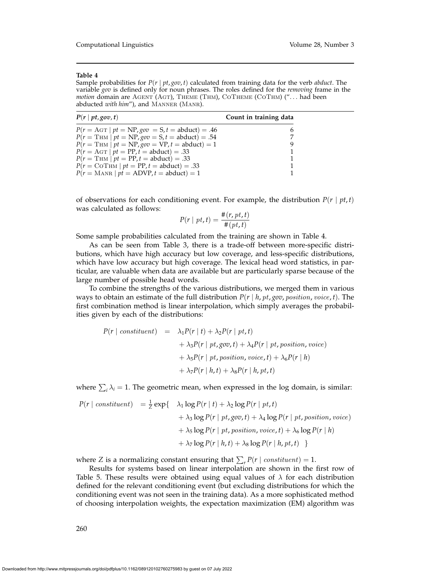Sample probabilities for *P*(*r* | *pt*, *gov*, *t*) calculated from training data for the verb *abduct*. The variable *gov* is defined only for noun phrases. The roles defined for the *removing* frame in the *motion* domain are AGENT (AGT), THEME (THM), COTHEME (COTHM) ("... had been abducted *with him"*), and MANNER (MANR).

| P(r   pt, gov, t)                                                            | Count in training data |
|------------------------------------------------------------------------------|------------------------|
| $P(r = \text{AGT}   pt = \text{NP}, gov = S, t = \text{abduct}) = .46$       |                        |
| $P(r = \text{THM}   pt = \text{NP}, gov = S, t = \text{abduct}) = .54$       |                        |
| $P(r = \text{THM}   pt = \text{NP}, gov = \text{VP}, t = \text{abduct}) = 1$ |                        |
| $P(r = \text{AGT} \mid pt = \text{PP}, t = \text{abduct}) = .33$             |                        |
| $P(r = \text{THM}   pt = PP, t = \text{abduct}) = .33$                       |                        |
| $P(r = \text{CoThM}   pt = \text{PP}, t = \text{abduct}) = .33$              |                        |
| $P(r = \text{MANR} \mid pt = \text{ADVP}, t = \text{abduct}) = 1$            |                        |

of observations for each conditioning event. For example, the distribution  $P(r | pt, t)$ was calculated as follows:

$$
P(r | pt, t) = \frac{\#(r, pt, t)}{\#(pt, t)}
$$

Some sample probabilities calculated from the training are shown in Table 4.

As can be seen from Table 3, there is a trade-off between more-specific distributions, which have high accuracy but low coverage, and less-specific distributions, which have low accuracy but high coverage. The lexical head word statistics, in particular, are valuable when data are available but are particularly sparse because of the large number of possible head words.

To combine the strengths of the various distributions, we merged them in various ways to obtain an estimate of the full distribution *P*(*r* | *h*, pt, *gov*, position, voice, *t*). The first combination method is linear interpolation, which simply averages the probabilities given by each of the distributions:

$$
P(r \mid constituent) = \lambda_1 P(r \mid t) + \lambda_2 P(r \mid pt, t)
$$
  
+  $\lambda_3 P(r \mid pt, gov, t) + \lambda_4 P(r \mid pt, position, voice)$   
+  $\lambda_5 P(r \mid pt, position, voice, t) + \lambda_6 P(r \mid h)$   
+  $\lambda_7 P(r \mid h, t) + \lambda_8 P(r \mid h, pt, t)$ 

where  $\sum_i \lambda_i = 1$ . The geometric mean, when expressed in the log domain, is similar:

$$
P(r \mid constituent) = \frac{1}{Z} \exp\{\begin{array}{c} \lambda_1 \log P(r \mid t) + \lambda_2 \log P(r \mid pt, t) \\ + \lambda_3 \log P(r \mid pt, gov, t) + \lambda_4 \log P(r \mid pt, position, voice) \\ + \lambda_5 \log P(r \mid pt, position, voice, t) + \lambda_6 \log P(r \mid h) \\ + \lambda_7 \log P(r \mid h, t) + \lambda_8 \log P(r \mid h, pt, t) \end{array}\}
$$

where *Z* is a normalizing constant ensuring that  $\sum_{r} P(r \mid constituent) = 1$ .

Results for systems based on linear interpolation are shown in the first row of Table 5. These results were obtained using equal values of  $\lambda$  for each distribution defined for the relevant conditioning event (but excluding distributions for which the conditioning event was not seen in the training data). As a more sophisticated method of choosing interpolation weights, the expectation maximization (EM) algorithm was

260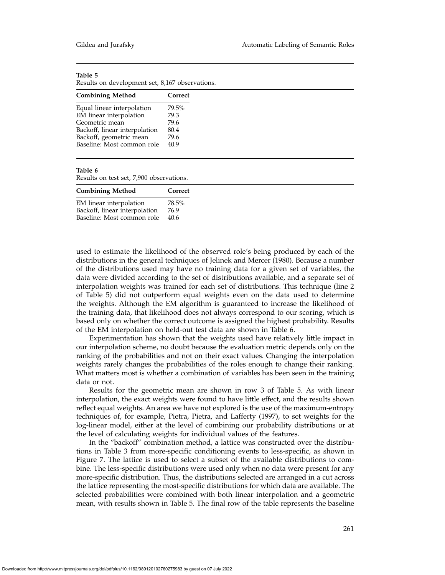Results on development set, 8,167 observations.

| Correct |
|---------|
| 79.5%   |
| 79.3    |
| 79.6    |
| 80.4    |
| 79.6    |
| 40.9    |
|         |

#### **Table 6**

Results on test set, 7,900 observations.

| <b>Combining Method</b>       | Correct |  |
|-------------------------------|---------|--|
| EM linear interpolation       | 78.5%   |  |
| Backoff, linear interpolation | 76.9    |  |
| Baseline: Most common role    | 40.6    |  |

used to estimate the likelihood of the observed role's being produced by each of the distributions in the general techniques of Jelinek and Mercer (1980). Because a number of the distributions used may have no training data for a given set of variables, the data were divided according to the set of distributions available, and a separate set of interpolation weights was trained for each set of distributions. This technique (line 2 of Table 5) did not outperform equal weights even on the data used to determine the weights. Although the EM algorithm is guaranteed to increase the likelihood of the training data, that likelihood does not always correspond to our scoring, which is based only on whether the correct outcome is assigned the highest probability. Results of the EM interpolation on held-out test data are shown in Table 6.

Experimentation has shown that the weights used have relatively little impact in our interpolation scheme, no doubt because the evaluation metric depends only on the ranking of the probabilities and not on their exact values. Changing the interpolation weights rarely changes the probabilities of the roles enough to change their ranking. What matters most is whether a combination of variables has been seen in the training data or not.

Results for the geometric mean are shown in row 3 of Table 5. As with linear interpolation, the exact weights were found to have little effect, and the results shown reflect equal weights. An area we have not explored is the use of the maximum-entropy techniques of, for example, Pietra, Pietra, and Lafferty (1997), to set weights for the log-linear model, either at the level of combining our probability distributions or at the level of calculating weights for individual values of the features.

In the "backoff" combination method, a lattice was constructed over the distributions in Table 3 from more-specific conditioning events to less-specific, as shown in Figure 7. The lattice is used to select a subset of the available distributions to combine. The less-specific distributions were used only when no data were present for any more-specific distribution. Thus, the distributions selected are arranged in a cut across the lattice representing the most-specific distributions for which data are available. The selected probabilities were combined with both linear interpolation and a geometric mean, with results shown in Table 5. The final row of the table represents the baseline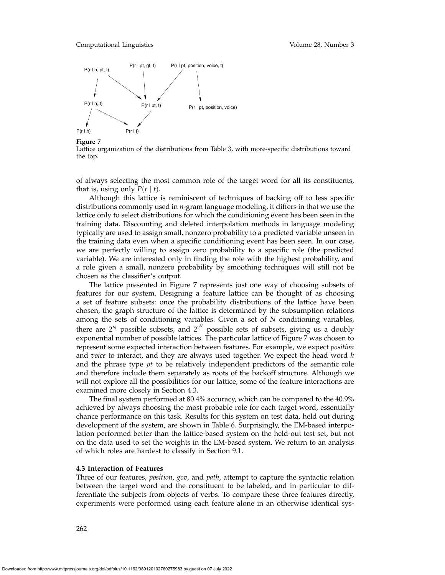

**Figure 7**

Lattice organization of the distributions from Table 3, with more-specific distributions toward the top.

of always selecting the most common role of the target word for all its constituents, that is, using only  $P(r | t)$ .

Although this lattice is reminiscent of techniques of backing off to less specific distributions commonly used in *n*-gram language modeling, it differs in that we use the lattice only to select distributions for which the conditioning event has been seen in the training data. Discounting and deleted interpolation methods in language modeling typically are used to assign small, nonzero probability to a predicted variable unseen in the training data even when a specific conditioning event has been seen. In our case, we are perfectly willing to assign zero probability to a specific role (the predicted variable). We are interested only in finding the role with the highest probability, and a role given a small, nonzero probability by smoothing techniques will still not be chosen as the classifier's output.

The lattice presented in Figure 7 represents just one way of choosing subsets of features for our system. Designing a feature lattice can be thought of as choosing a set of feature subsets: once the probability distributions of the lattice have been chosen, the graph structure of the lattice is determined by the subsumption relations among the sets of conditioning variables. Given a set of *N* conditioning variables, there are  $2^N$  possible subsets, and  $2^{2^N}$  possible sets of subsets, giving us a doubly exponential number of possible lattices. The particular lattice of Figure 7 was chosen to represent some expected interaction between features. For example, we expect *position* and *voice* to interact, and they are always used together. We expect the head word *h* and the phrase type  $pt$  to be relatively independent predictors of the semantic role and therefore include them separately as roots of the backoff structure. Although we will not explore all the possibilities for our lattice, some of the feature interactions are examined more closely in Section 4.3.

The final system performed at 80.4% accuracy, which can be compared to the 40.9% achieved by always choosing the most probable role for each target word, essentially chance performance on this task. Results for this system on test data, held out during development of the system, are shown in Table 6. Surprisingly, the EM-based interpolation performed better than the lattice-based system on the held-out test set, but not on the data used to set the weights in the EM-based system. We return to an analysis of which roles are hardest to classify in Section 9.1.

### **4.3 Interaction of Features**

Three of our features, *position*, *gov*, and *path*, attempt to capture the syntactic relation between the target word and the constituent to be labeled, and in particular to differentiate the subjects from objects of verbs. To compare these three features directly, experiments were performed using each feature alone in an otherwise identical sys-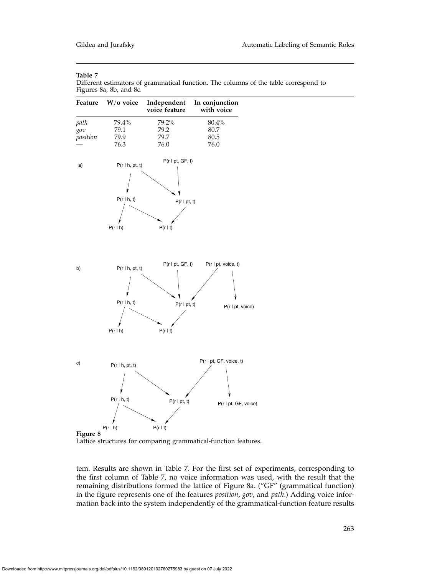Different estimators of grammatical function. The columns of the table correspond to Figures 8a, 8b, and 8c.





tem. Results are shown in Table 7. For the first set of experiments, corresponding to the first column of Table 7, no voice information was used, with the result that the remaining distributions formed the lattice of Figure 8a. ("GF" (grammatical function) in the figure represents one of the features *position*, *gov*, and *path*.) Adding voice information back into the system independently of the grammatical-function feature results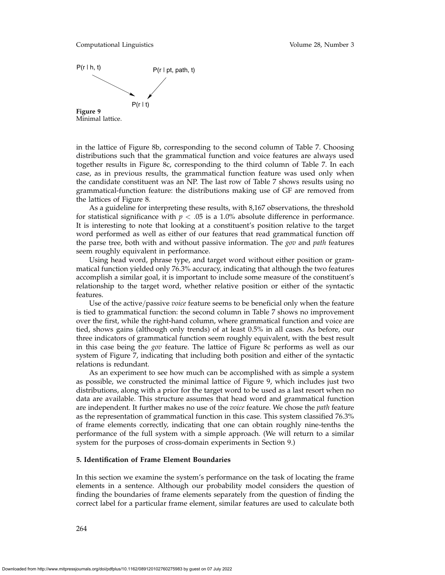Computational Linguistics Volume 28, Number 3



in the lattice of Figure 8b, corresponding to the second column of Table 7. Choosing distributions such that the grammatical function and voice features are always used together results in Figure 8c, corresponding to the third column of Table 7. In each case, as in previous results, the grammatical function feature was used only when the candidate constituent was an NP. The last row of Table 7 shows results using no grammatical-function feature: the distributions making use of GF are removed from the lattices of Figure 8.

As a guideline for interpreting these results, with 8,167 observations, the threshold for statistical significance with  $p < .05$  is a 1.0% absolute difference in performance. It is interesting to note that looking at a constituent's position relative to the target word performed as well as either of our features that read grammatical function off the parse tree, both with and without passive information. The *gov* and *path* features seem roughly equivalent in performance.

Using head word, phrase type, and target word without either position or grammatical function yielded only 76.3% accuracy, indicating that although the two features accomplish a similar goal, it is important to include some measure of the constituent's relationship to the target word, whether relative position or either of the syntactic features.

Use of the active/passive *voice* feature seems to be beneficial only when the feature is tied to grammatical function: the second column in Table 7 shows no improvement over the first, while the right-hand column, where grammatical function and voice are tied, shows gains (although only trends) of at least 0.5% in all cases. As before, our three indicators of grammatical function seem roughly equivalent, with the best result in this case being the *gov* feature. The lattice of Figure 8c performs as well as our system of Figure 7, indicating that including both position and either of the syntactic relations is redundant.

As an experiment to see how much can be accomplished with as simple a system as possible, we constructed the minimal lattice of Figure 9, which includes just two distributions, along with a prior for the target word to be used as a last resort when no data are available. This structure assumes that head word and grammatical function are independent. It further makes no use of the *voice* feature. We chose the *path* feature as the representation of grammatical function in this case. This system classified 76.3% of frame elements correctly, indicating that one can obtain roughly nine-tenths the performance of the full system with a simple approach. (We will return to a similar system for the purposes of cross-domain experiments in Section 9.)

### **5. Identification of Frame Element Boundaries**

In this section we examine the system's performance on the task of locating the frame elements in a sentence. Although our probability model considers the question of finding the boundaries of frame elements separately from the question of finding the correct label for a particular frame element, similar features are used to calculate both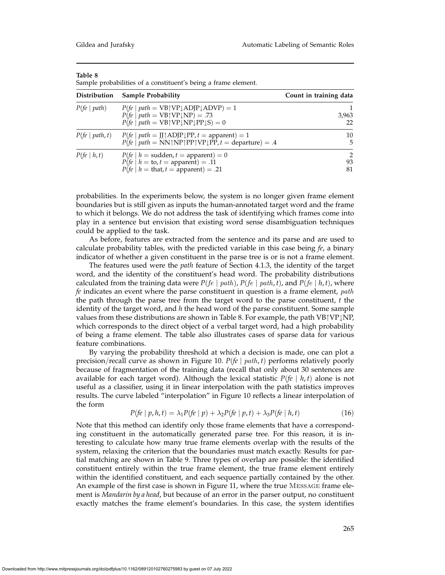| <b>Distribution</b> | Sample Probability                                                                                                                                                                                                                                             | Count in training data    |
|---------------------|----------------------------------------------------------------------------------------------------------------------------------------------------------------------------------------------------------------------------------------------------------------|---------------------------|
| $P$ (fe   path)     | $P$ (fe   path = VB $\uparrow$ VP $\downarrow$ ADJP $\downarrow$ ADVP) = 1<br>$P(\mathit{fe} \mid \mathit{path} = \text{VB} \uparrow \text{VP} \downarrow \text{NP}) = .73$<br>$P(fe \mid path = VB \uparrow VP \downarrow NP \downarrow PP \downarrow S) = 0$ | 3,963<br>22               |
| $P$ (fe   path, t)  | $P(\mathit{fe} \mid \mathit{path} = \text{JJ} \uparrow \text{ADJP} \downarrow \text{PP}, t = \text{apparent}) = 1$<br>$P(\hat{f}e \mid path = NN \uparrow NP \uparrow PP \uparrow VP \downarrow \vec{PP}, t = departure) = .4$                                 | 10<br>5                   |
| $P$ (fe   h, t)     | $P$ (fe   h = sudden, t = apparent) = 0<br>$P(\mathit{fe} \mid h = \text{to}, t = \text{apparent}) = .11$<br>$P(\hat{f}e \mid h = \text{that}, t = \text{apparent}) = .21$                                                                                     | $\mathcal{P}$<br>93<br>81 |

**Table 8** Sample probabilities of a constituent's being a frame element.

probabilities. In the experiments below, the system is no longer given frame element boundaries but is still given as inputs the human-annotated target word and the frame to which it belongs. We do not address the task of identifying which frames come into play in a sentence but envision that existing word sense disambiguation techniques could be applied to the task.

As before, features are extracted from the sentence and its parse and are used to calculate probability tables, with the predicted variable in this case being *fe*, a binary indicator of whether a given constituent in the parse tree is or is not a frame element.

The features used were the *path* feature of Section 4.1.3, the identity of the target word, and the identity of the constituent's head word. The probability distributions calculated from the training data were  $P(fe | path)$ ,  $P(fe | path, t)$ , and  $P(fe | h, t)$ , where *fe* indicates an event where the parse constituent in question is a frame element, path the path through the parse tree from the target word to the parse constituent, *t* the identity of the target word, and *h* the head word of the parse constituent. Some sample values from these distributions are shown in Table 8. For example, the path VB↑VP↓NP, which corresponds to the direct object of a verbal target word, had a high probability of being a frame element. The table also illustrates cases of sparse data for various feature combinations.

By varying the probability threshold at which a decision is made, one can plot a precision/recall curve as shown in Figure 10. *P*(*fe* | path, *t*) performs relatively poorly because of fragmentation of the training data (recall that only about 30 sentences are available for each target word). Although the lexical statistic  $P(fe | h,t)$  alone is not useful as a classifier, using it in linear interpolation with the path statistics improves results. The curve labeled "interpolation" in Figure 10 reflects a linear interpolation of the form

$$
P(\mathit{fe} \mid p, h, t) = \lambda_1 P(\mathit{fe} \mid p) + \lambda_2 P(\mathit{fe} \mid p, t) + \lambda_3 P(\mathit{fe} \mid h, t) \tag{16}
$$

Note that this method can identify only those frame elements that have a corresponding constituent in the automatically generated parse tree. For this reason, it is interesting to calculate how many true frame elements overlap with the results of the system, relaxing the criterion that the boundaries must match exactly. Results for partial matching are shown in Table 9. Three types of overlap are possible: the identified constituent entirely within the true frame element, the true frame element entirely within the identified constituent, and each sequence partially contained by the other. An example of the first case is shown in Figure 11, where the true Message frame element is *Mandarin by a head*, but because of an error in the parser output, no constituent exactly matches the frame element's boundaries. In this case, the system identifies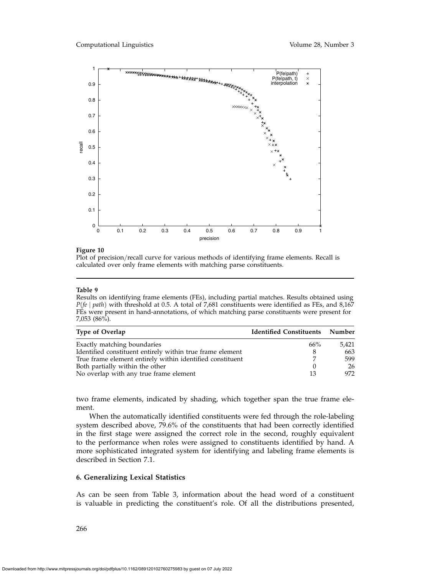

#### **Figure 10**

Plot of precision/recall curve for various methods of identifying frame elements. Recall is calculated over only frame elements with matching parse constituents.

#### **Table 9**

Results on identifying frame elements (FEs), including partial matches. Results obtained using *P*(*fe* | *path*) with threshold at 0.5. A total of 7,681 constituents were identified as FEs, and 8,167 FEs were present in hand-annotations, of which matching parse constituents were present for 7,053 (86%).

| <b>Type of Overlap</b>                                    | <b>Identified Constituents Number</b> |       |
|-----------------------------------------------------------|---------------------------------------|-------|
| Exactly matching boundaries                               | 66%                                   | 5.421 |
| Identified constituent entirely within true frame element | 8                                     | 663   |
| True frame element entirely within identified constituent |                                       | 599   |
| Both partially within the other                           |                                       | 26    |
| No overlap with any true frame element                    | 13                                    | 972   |

two frame elements, indicated by shading, which together span the true frame element.

When the automatically identified constituents were fed through the role-labeling system described above, 79.6% of the constituents that had been correctly identified in the first stage were assigned the correct role in the second, roughly equivalent to the performance when roles were assigned to constituents identified by hand. A more sophisticated integrated system for identifying and labeling frame elements is described in Section 7.1.

### **6. Generalizing Lexical Statistics**

As can be seen from Table 3, information about the head word of a constituent is valuable in predicting the constituent's role. Of all the distributions presented,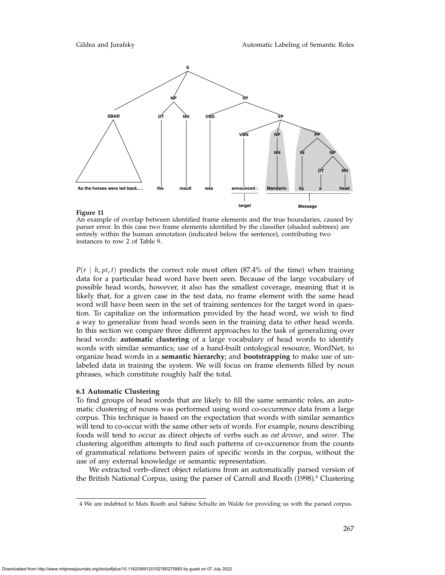

### **Figure 11**

An example of overlap between identified frame elements and the true boundaries, caused by parser error. In this case two frame elements identified by the classifier (shaded subtrees) are entirely within the human annotation (indicated below the sentence), contributing two instances to row 2 of Table 9.

 $P(r \mid h, pt, t)$  predicts the correct role most often (87.4% of the time) when training data for a particular head word have been seen. Because of the large vocabulary of possible head words, however, it also has the smallest coverage, meaning that it is likely that, for a given case in the test data, no frame element with the same head word will have been seen in the set of training sentences for the target word in question. To capitalize on the information provided by the head word, we wish to find a way to generalize from head words seen in the training data to other head words. In this section we compare three different approaches to the task of generalizing over head words: **automatic clustering** of a large vocabulary of head words to identify words with similar semantics; use of a hand-built ontological resource, WordNet, to organize head words in a **semantic hierarchy**; and **bootstrapping** to make use of unlabeled data in training the system. We will focus on frame elements filled by noun phrases, which constitute roughly half the total.

### **6.1 Automatic Clustering**

To find groups of head words that are likely to fill the same semantic roles, an automatic clustering of nouns was performed using word co-occurrence data from a large corpus. This technique is based on the expectation that words with similar semantics will tend to co-occur with the same other sets of words. For example, nouns describing foods will tend to occur as direct objects of verbs such as *eat devour*, and *savor*. The clustering algorithm attempts to find such patterns of co-occurrence from the counts of grammatical relations between pairs of specific words in the corpus, without the use of any external knowledge or semantic representation.

We extracted verb–direct object relations from an automatically parsed version of the British National Corpus, using the parser of Carroll and Rooth (1998).<sup>4</sup> Clustering

<sup>4</sup> We are indebted to Mats Rooth and Sabine Schulte im Walde for providing us with the parsed corpus.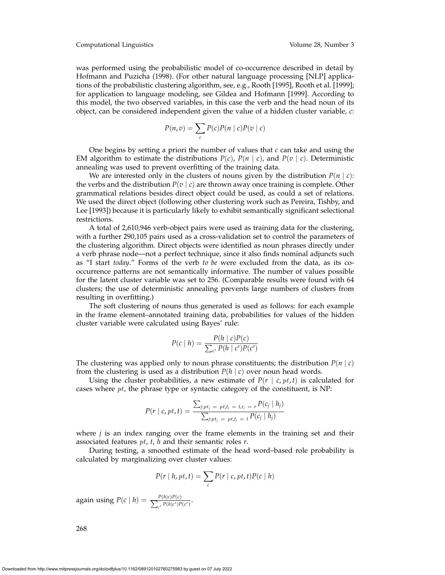was performed using the probabilistic model of co-occurrence described in detail by Hofmann and Puzicha (1998). (For other natural language processing [NLP] applications of the probabilistic clustering algorithm, see, e.g., Rooth [1995], Rooth et al. [1999]; for application to language modeling, see Gildea and Hofmann [1999]. According to this model, the two observed variables, in this case the verb and the head noun of its object, can be considered independent given the value of a hidden cluster variable, *c*:

$$
P(n,v) = \sum_{c} P(c)P(n \mid c)P(v \mid c)
$$

One begins by setting a priori the number of values that *c* can take and using the EM algorithm to estimate the distributions  $P(c)$ ,  $P(n | c)$ , and  $P(v | c)$ . Deterministic annealing was used to prevent overfitting of the training data.

We are interested only in the clusters of nouns given by the distribution  $P(n \mid c)$ : the verbs and the distribution  $P(v \mid c)$  are thrown away once training is complete. Other grammatical relations besides direct object could be used, as could a set of relations. We used the direct object (following other clustering work such as Pereira, Tishby, and Lee [1993]) because it is particularly likely to exhibit semantically significant selectional restrictions.

A total of 2,610,946 verb-object pairs were used as training data for the clustering, with a further 290,105 pairs used as a cross-validation set to control the parameters of the clustering algorithm. Direct objects were identified as noun phrases directly under a verb phrase node—not a perfect technique, since it also finds nominal adjuncts such as "I start *today*." Forms of the verb *to be* were excluded from the data, as its cooccurrence patterns are not semantically informative. The number of values possible for the latent cluster variable was set to 256. (Comparable results were found with 64 clusters; the use of deterministic annealing prevents large numbers of clusters from resulting in overfitting.)

The soft clustering of nouns thus generated is used as follows: for each example in the frame element–annotated training data, probabilities for values of the hidden cluster variable were calculated using Bayes' rule:

$$
P(c | h) = \frac{P(h | c)P(c)}{\sum_{c'} P(h | c')P(c')}
$$

The clustering was applied only to noun phrase constituents; the distribution  $P(n | c)$ from the clustering is used as a distribution  $P(h | c)$  over noun head words.

Using the cluster probabilities, a new estimate of  $P(r | c, pt, t)$  is calculated for cases where  $pt$ , the phrase type or syntactic category of the constituent, is NP:

$$
P(r \mid c, pt, t) = \frac{\sum_{j: pt_j = pt, t_j = t, r_j = r} P(c_j \mid h_j)}{\sum_{j: pt_j = pt, t_j = t} P(c_j \mid h_j)}
$$

where *j* is an index ranging over the frame elements in the training set and their associated features pt, *t*, *h* and their semantic roles *r*.

During testing, a smoothed estimate of the head word–based role probability is calculated by marginalizing over cluster values:

$$
P(r | h, pt, t) = \sum_{c} P(r | c, pt, t) P(c | h)
$$

again using  $P(c \mid h) = \frac{P(h|c)P(c)}{\sum_{c'} P(h|c')P(c)}$  $\frac{P(n|c)P(c)}{P(n|c')P(c')}$ .

268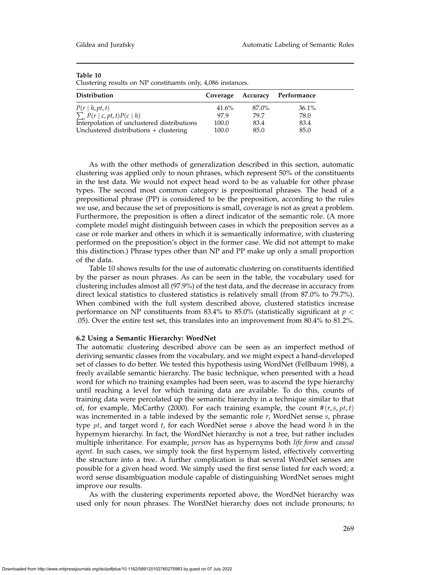| Table 10                 |  |
|--------------------------|--|
| $Cl$ ustoring rosults of |  |

Clustering results on NP constituents only, 4,086 instances.

| Distribution                               |       |       | Coverage Accuracy Performance |
|--------------------------------------------|-------|-------|-------------------------------|
| P(r   h, pt, t)                            | 41.6% | 87.0% | $36.1\%$                      |
| $\sum_{c} P(r \mid c, pt, t) P(c \mid h)$  | 97.9  | 79.7  | 78.0                          |
| Interpolation of unclustered distributions | 100.0 | 83.4  | 83.4                          |
| Unclustered distributions + clustering     | 100.0 | 85.0  | 85.0                          |

As with the other methods of generalization described in this section, automatic clustering was applied only to noun phrases, which represent 50% of the constituents in the test data. We would not expect head word to be as valuable for other phrase types. The second most common category is prepositional phrases. The head of a prepositional phrase (PP) is considered to be the preposition, according to the rules we use, and because the set of prepositions is small, coverage is not as great a problem. Furthermore, the preposition is often a direct indicator of the semantic role. (A more complete model might distinguish between cases in which the preposition serves as a case or role marker and others in which it is semantically informative, with clustering performed on the preposition's object in the former case. We did not attempt to make this distinction.) Phrase types other than NP and PP make up only a small proportion of the data.

Table 10 shows results for the use of automatic clustering on constituents identified by the parser as noun phrases. As can be seen in the table, the vocabulary used for clustering includes almost all (97.9%) of the test data, and the decrease in accuracy from direct lexical statistics to clustered statistics is relatively small (from 87.0% to 79.7%). When combined with the full system described above, clustered statistics increase performance on NP constituents from 83.4% to 85.0% (statistically significant at *p* < .05). Over the entire test set, this translates into an improvement from 80.4% to 81.2%.

### **6.2 Using a Semantic Hierarchy: WordNet**

The automatic clustering described above can be seen as an imperfect method of deriving semantic classes from the vocabulary, and we might expect a hand-developed set of classes to do better. We tested this hypothesis using WordNet (Fellbaum 1998), a freely available semantic hierarchy. The basic technique, when presented with a head word for which no training examples had been seen, was to ascend the type hierarchy until reaching a level for which training data are available. To do this, counts of training data were percolated up the semantic hierarchy in a technique similar to that of, for example, McCarthy (2000). For each training example, the count  $\#(r, s, pt, t)$ was incremented in a table indexed by the semantic role *r*, WordNet sense *s*, phrase type pt, and target word *t*, for each WordNet sense *s* above the head word *h* in the hypernym hierarchy. In fact, the WordNet hierarchy is not a tree, but rather includes multiple inheritance. For example, *person* has as hypernyms both *life form* and *causal agent*. In such cases, we simply took the first hypernym listed, effectively converting the structure into a tree. A further complication is that several WordNet senses are possible for a given head word. We simply used the first sense listed for each word; a word sense disambiguation module capable of distinguishing WordNet senses might improve our results.

As with the clustering experiments reported above, the WordNet hierarchy was used only for noun phrases. The WordNet hierarchy does not include pronouns; to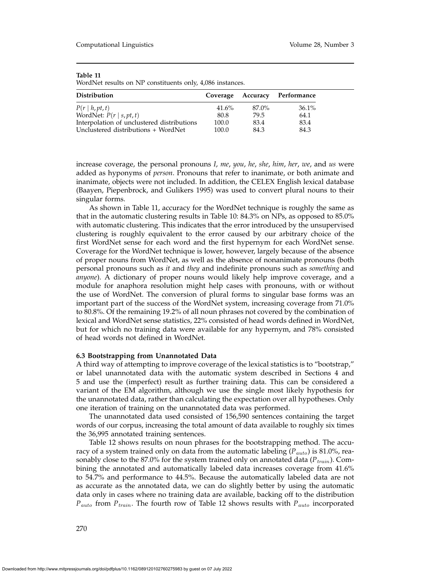| WordNet results on NP constituents only, 4,086 instances. |  |
|-----------------------------------------------------------|--|

| <b>Distribution</b>                        | Coverage |       | Accuracy Performance |
|--------------------------------------------|----------|-------|----------------------|
| P(r   h, pt, t)                            | 41.6%    | 87.0% | $36.1\%$             |
| WordNet: $P(r   s, pt, t)$                 | 80.8     | 79.5  | 64.1                 |
| Interpolation of unclustered distributions | 100.0    | 83.4  | 83.4                 |
| Unclustered distributions + WordNet        | 100.0    | 84.3  | 84.3                 |

increase coverage, the personal pronouns *I*, *me*, *you*, *he*, *she*, *him*, *her*, *we*, and *us* were added as hyponyms of *person*. Pronouns that refer to inanimate, or both animate and inanimate, objects were not included. In addition, the CELEX English lexical database (Baayen, Piepenbrock, and Gulikers 1995) was used to convert plural nouns to their singular forms.

As shown in Table 11, accuracy for the WordNet technique is roughly the same as that in the automatic clustering results in Table 10: 84.3% on NPs, as opposed to 85.0% with automatic clustering. This indicates that the error introduced by the unsupervised clustering is roughly equivalent to the error caused by our arbitrary choice of the first WordNet sense for each word and the first hypernym for each WordNet sense. Coverage for the WordNet technique is lower, however, largely because of the absence of proper nouns from WordNet, as well as the absence of nonanimate pronouns (both personal pronouns such as *it* and *they* and indefinite pronouns such as *something* and *anyone*). A dictionary of proper nouns would likely help improve coverage, and a module for anaphora resolution might help cases with pronouns, with or without the use of WordNet. The conversion of plural forms to singular base forms was an important part of the success of the WordNet system, increasing coverage from 71.0% to 80.8%. Of the remaining 19.2% of all noun phrases not covered by the combination of lexical and WordNet sense statistics, 22% consisted of head words defined in WordNet, but for which no training data were available for any hypernym, and 78% consisted of head words not defined in WordNet.

#### **6.3 Bootstrapping from Unannotated Data**

A third way of attempting to improve coverage of the lexical statistics is to "bootstrap," or label unannotated data with the automatic system described in Sections 4 and 5 and use the (imperfect) result as further training data. This can be considered a variant of the EM algorithm, although we use the single most likely hypothesis for the unannotated data, rather than calculating the expectation over all hypotheses. Only one iteration of training on the unannotated data was performed.

The unannotated data used consisted of 156,590 sentences containing the target words of our corpus, increasing the total amount of data available to roughly six times the 36,995 annotated training sentences.

Table 12 shows results on noun phrases for the bootstrapping method. The accuracy of a system trained only on data from the automatic labeling ( $P_{auto}$ ) is 81.0%, reasonably close to the 87.0% for the system trained only on annotated data ( $P_{train}$ ). Combining the annotated and automatically labeled data increases coverage from 41.6% to 54.7% and performance to 44.5%. Because the automatically labeled data are not as accurate as the annotated data, we can do slightly better by using the automatic data only in cases where no training data are available, backing off to the distribution *P*auto from *P*train. The fourth row of Table 12 shows results with *P*auto incorporated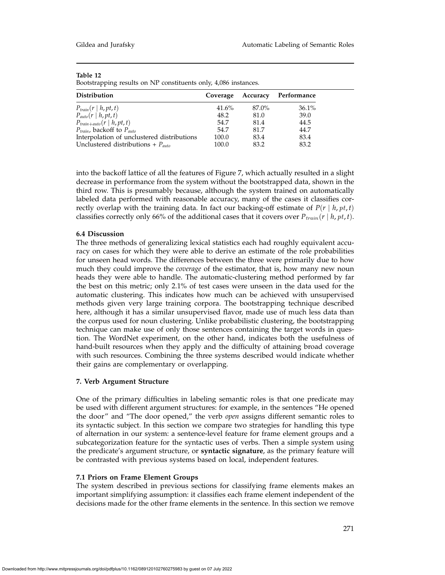| $1000000$ pang results on the construction only 17000 modelles. |          |          |             |
|-----------------------------------------------------------------|----------|----------|-------------|
| Distribution                                                    | Coverage | Accuracy | Performance |
| $P_{train}(r   h, pt, t)$                                       | 41.6%    | 87.0%    | 36.1%       |
| $P_{auto}(r   h, pt, t)$                                        | 48.2     | 81.0     | 39.0        |
| $P_{train+auto}(r   h, pt, t)$                                  | 54.7     | 81.4     | 44.5        |
| $P_{train}$ , backoff to $P_{auto}$                             | 54.7     | 81.7     | 44.7        |
| Interpolation of unclustered distributions                      | 100.0    | 83.4     | 83.4        |
| Unclustered distributions + $P_{auto}$                          | 100.0    | 83.2     | 83.2        |

Bootstrapping results on NP constituents only, 4,086 instances.

into the backoff lattice of all the features of Figure 7, which actually resulted in a slight decrease in performance from the system without the bootstrapped data, shown in the third row. This is presumably because, although the system trained on automatically labeled data performed with reasonable accuracy, many of the cases it classifies correctly overlap with the training data. In fact our backing-off estimate of  $P(r | h, pt, t)$ classifies correctly only 66% of the additional cases that it covers over  $P_{train}(r | h, pt, t)$ .

### **6.4 Discussion**

The three methods of generalizing lexical statistics each had roughly equivalent accuracy on cases for which they were able to derive an estimate of the role probabilities for unseen head words. The differences between the three were primarily due to how much they could improve the *coverage* of the estimator, that is, how many new noun heads they were able to handle. The automatic-clustering method performed by far the best on this metric; only 2.1% of test cases were unseen in the data used for the automatic clustering. This indicates how much can be achieved with unsupervised methods given very large training corpora. The bootstrapping technique described here, although it has a similar unsupervised flavor, made use of much less data than the corpus used for noun clustering. Unlike probabilistic clustering, the bootstrapping technique can make use of only those sentences containing the target words in question. The WordNet experiment, on the other hand, indicates both the usefulness of hand-built resources when they apply and the difficulty of attaining broad coverage with such resources. Combining the three systems described would indicate whether their gains are complementary or overlapping.

### **7. Verb Argument Structure**

One of the primary difficulties in labeling semantic roles is that one predicate may be used with different argument structures: for example, in the sentences "He opened the door" and "The door opened," the verb *open* assigns different semantic roles to its syntactic subject. In this section we compare two strategies for handling this type of alternation in our system: a sentence-level feature for frame element groups and a subcategorization feature for the syntactic uses of verbs. Then a simple system using the predicate's argument structure, or **syntactic signature**, as the primary feature will be contrasted with previous systems based on local, independent features.

### **7.1 Priors on Frame Element Groups**

The system described in previous sections for classifying frame elements makes an important simplifying assumption: it classifies each frame element independent of the decisions made for the other frame elements in the sentence. In this section we remove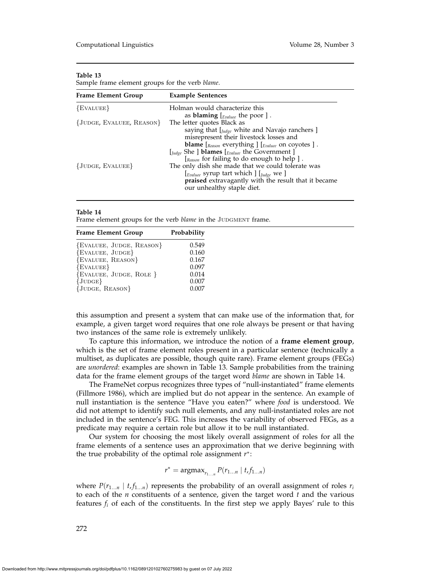Sample frame element groups for the verb *blame*.

| <b>Frame Element Group</b> | <b>Example Sentences</b>                                                                               |
|----------------------------|--------------------------------------------------------------------------------------------------------|
| ${EVALUEE}$                | Holman would characterize this                                                                         |
|                            | as <b>blaming</b> $\left[$ <sub><i>Evaluee</i></sub> the poor $\right]$ .                              |
| {JUDGE, EVALUEE, REASON}   | The letter quotes Black as                                                                             |
|                            | saying that $\left[\begin{smallmatrix} 1 \end{smallmatrix} \right]$ white and Navajo ranchers $\left]$ |
|                            | misrepresent their livestock losses and                                                                |
|                            | <b>blame</b> $[Reson]$ everything $]$ $[E_{value}$ on coyotes $]$ .                                    |
|                            | [ <i>Judge</i> She ] <b>blames</b> [ <i>Evaluee</i> the Government ]                                   |
|                            | $[$ <sub>Reason</sub> for failing to do enough to help $]$ .                                           |
| $\{JUDGE, EVALUEE\}$       | The only dish she made that we could tolerate was                                                      |
|                            | $[$ <sub>Evaluee</sub> syrup tart which $]$ $[$ <sub>Judge</sub> we $]$                                |
|                            | <b>praised</b> extravagantly with the result that it became                                            |
|                            | our unhealthy staple diet.                                                                             |
|                            |                                                                                                        |

#### **Table 14**

Frame element groups for the verb *blame* in the JUDGMENT frame.

| <b>Frame Element Group</b> | Probability |
|----------------------------|-------------|
| {EVALUEE, JUDGE, REASON}   | 0.549       |
| {EVALUEE, JUDGE}           | 0.160       |
| {EVALUEE, REASON}          | 0.167       |
| ${EVALUEE}$                | 0.097       |
| {EVALUEE, JUDGE, ROLE }    | 0.014       |
| $\{JUDGE\}$                | 0.007       |
| {JUDGE, REASON}            | 0.007       |

this assumption and present a system that can make use of the information that, for example, a given target word requires that one role always be present or that having two instances of the same role is extremely unlikely.

To capture this information, we introduce the notion of a **frame element group**, which is the set of frame element roles present in a particular sentence (technically a multiset, as duplicates are possible, though quite rare). Frame element groups (FEGs) are *unordered*: examples are shown in Table 13. Sample probabilities from the training data for the frame element groups of the target word *blame* are shown in Table 14.

The FrameNet corpus recognizes three types of "null-instantiated" frame elements (Fillmore 1986), which are implied but do not appear in the sentence. An example of null instantiation is the sentence "Have you eaten?" where *food* is understood. We did not attempt to identify such null elements, and any null-instantiated roles are not included in the sentence's FEG. This increases the variability of observed FEGs, as a predicate may require a certain role but allow it to be null instantiated.

Our system for choosing the most likely overall assignment of roles for all the frame elements of a sentence uses an approximation that we derive beginning with the true probability of the optimal role assignment *r*∗:

$$
r^* = \text{argmax}_{r_{1...n}} P(r_{1...n} | t, f_{1...n})
$$

where  $P(r_{1...n} \mid t, f_{1...n})$  represents the probability of an overall assignment of roles  $r_i$ to each of the *n* constituents of a sentence, given the target word *t* and the various features  $f_i$  of each of the constituents. In the first step we apply Bayes' rule to this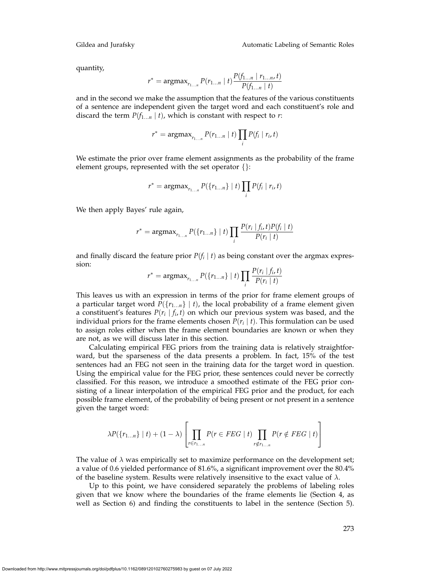Gildea and Jurafsky **Automatic Labeling of Semantic Roles** 

quantity,

$$
r^* = \text{argmax}_{r_{1...n}} P(r_{1...n} | t) \frac{P(f_{1...n} | r_{1...n}, t)}{P(f_{1...n} | t)}
$$

and in the second we make the assumption that the features of the various constituents of a sentence are independent given the target word and each constituent's role and discard the term  $P(f_{1...n} | t)$ , which is constant with respect to *r*:

$$
r^* = \operatorname{argmax}_{r_{1...n}} P(r_{1...n} \mid t) \prod_i P(f_i \mid r_i, t)
$$

We estimate the prior over frame element assignments as the probability of the frame element groups, represented with the set operator {}:

$$
r^* = \text{argmax}_{r_{1...n}} P(\{r_{1...n}\} | t) \prod_i P(f_i | r_i, t)
$$

We then apply Bayes' rule again,

*r*

$$
r^* = \text{argmax}_{r_{1...n}} P(\{r_{1...n}\} | t) \prod_i \frac{P(r_i | f_i, t) P(f_i | t)}{P(r_i | t)}
$$

and finally discard the feature prior  $P(f_i | t)$  as being constant over the argmax expression:

$$
r^* = \text{argmax}_{r_{1...n}} P(\{r_{1...n}\} | t) \prod_i \frac{P(r_i | f_i, t)}{P(r_i | t)}
$$

This leaves us with an expression in terms of the prior for frame element groups of a particular target word  $P({r_{1...n}} \mid t)$ , the local probability of a frame element given a constituent's features  $P(r_i | f_i, t)$  on which our previous system was based, and the individual priors for the frame elements chosen  $P(r_i | t)$ . This formulation can be used to assign roles either when the frame element boundaries are known or when they are not, as we will discuss later in this section.

Calculating empirical FEG priors from the training data is relatively straightforward, but the sparseness of the data presents a problem. In fact, 15% of the test sentences had an FEG not seen in the training data for the target word in question. Using the empirical value for the FEG prior, these sentences could never be correctly classified. For this reason, we introduce a smoothed estimate of the FEG prior consisting of a linear interpolation of the empirical FEG prior and the product, for each possible frame element, of the probability of being present or not present in a sentence given the target word:

$$
\lambda P(\lbrace r_{1...n} \rbrace | t) + (1 - \lambda) \left[ \prod_{r \in r_{1...n}} P(r \in FEG \mid t) \prod_{r \notin r_{1...n}} P(r \notin FEG \mid t) \right]
$$

The value of  $\lambda$  was empirically set to maximize performance on the development set; a value of 0.6 yielded performance of 81.6%, a significant improvement over the 80.4% of the baseline system. Results were relatively insensitive to the exact value of  $\lambda$ .

Up to this point, we have considered separately the problems of labeling roles given that we know where the boundaries of the frame elements lie (Section 4, as well as Section 6) and finding the constituents to label in the sentence (Section 5).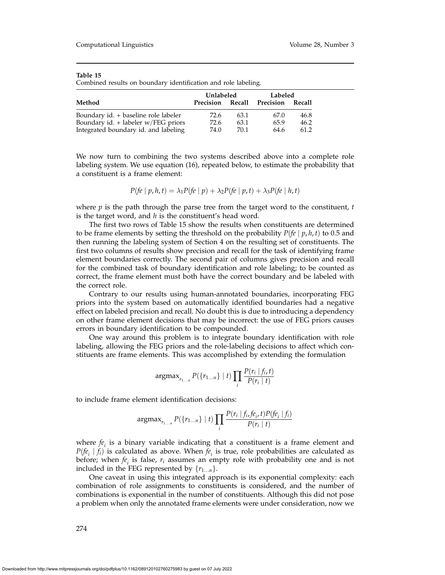|                                      | Unlabeled |        | Labeled   |               |
|--------------------------------------|-----------|--------|-----------|---------------|
| Method                               | Precision | Recall | Precision | <b>Recall</b> |
| Boundary id. + baseline role labeler | 72.6      | 63.1   | 67.0      | 46.8          |
| Boundary id. + labeler w/FEG priors  | 72.6      | 63.1   | 65.9      | 46.2          |
| Integrated boundary id. and labeling | 74.0      | 70.1   | 64.6      | 61.2          |

Combined results on boundary identification and role labeling.

We now turn to combining the two systems described above into a complete role labeling system. We use equation (16), repeated below, to estimate the probability that a constituent is a frame element:

$$
P(\mathit{fe} \mid p, h, t) = \lambda_1 P(\mathit{fe} \mid p) + \lambda_2 P(\mathit{fe} \mid p, t) + \lambda_3 P(\mathit{fe} \mid h, t)
$$

where  $p$  is the path through the parse tree from the target word to the constituent,  $t$ is the target word, and *h* is the constituent's head word.

The first two rows of Table 15 show the results when constituents are determined to be frame elements by setting the threshold on the probability  $P(fe | p, h, t)$  to 0.5 and then running the labeling system of Section 4 on the resulting set of constituents. The first two columns of results show precision and recall for the task of identifying frame element boundaries correctly. The second pair of columns gives precision and recall for the combined task of boundary identification and role labeling; to be counted as correct, the frame element must both have the correct boundary and be labeled with the correct role.

Contrary to our results using human-annotated boundaries, incorporating FEG priors into the system based on automatically identified boundaries had a negative effect on labeled precision and recall. No doubt this is due to introducing a dependency on other frame element decisions that may be incorrect: the use of FEG priors causes errors in boundary identification to be compounded.

One way around this problem is to integrate boundary identification with role labeling, allowing the FEG priors and the role-labeling decisions to affect which constituents are frame elements. This was accomplished by extending the formulation

$$
\text{argmax}_{r_{1...n}} P(\{r_{1...n}\} \mid t) \prod_{i} \frac{P(r_i \mid f_i, t)}{P(r_i \mid t)}
$$

to include frame element identification decisions:

$$
\text{argmax}_{r_{1...n}} P(\{r_{1...n}\} \mid t) \prod_{i} \frac{P(r_i \mid f_i, fe_i, t) P(fe_i \mid f_i)}{P(r_i \mid t)}
$$

where  $fe_i$  is a binary variable indicating that a constituent is a frame element and  $P(f_{\mathcal{E}_i} | f_i)$  is calculated as above. When  $f_{\mathcal{E}_i}$  is true, role probabilities are calculated as before; when  $fe_i$  is false,  $r_i$  assumes an empty role with probability one and is not included in the FEG represented by  $\{r_{1...n}\}.$ 

One caveat in using this integrated approach is its exponential complexity: each combination of role assignments to constituents is considered, and the number of combinations is exponential in the number of constituents. Although this did not pose a problem when only the annotated frame elements were under consideration, now we

274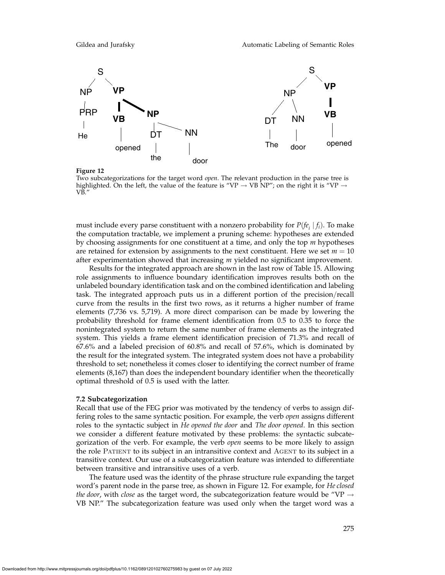

**Figure 12**

Two subcategorizations for the target word *open*. The relevant production in the parse tree is highlighted. On the left, the value of the feature is "VP  $\rightarrow$  VB NP"; on the right it is "VP  $\rightarrow$ VB."

must include every parse constituent with a nonzero probability for  $P(f_{\mathcal{E}_i} | f_i)$ . To make the computation tractable, we implement a pruning scheme: hypotheses are extended by choosing assignments for one constituent at a time, and only the top *m* hypotheses are retained for extension by assignments to the next constituent. Here we set  $m = 10$ after experimentation showed that increasing *m* yielded no significant improvement.

Results for the integrated approach are shown in the last row of Table 15. Allowing role assignments to influence boundary identification improves results both on the unlabeled boundary identification task and on the combined identification and labeling task. The integrated approach puts us in a different portion of the precision/recall curve from the results in the first two rows, as it returns a higher number of frame elements (7,736 vs. 5,719). A more direct comparison can be made by lowering the probability threshold for frame element identification from 0.5 to 0.35 to force the nonintegrated system to return the same number of frame elements as the integrated system. This yields a frame element identification precision of 71.3% and recall of 67.6% and a labeled precision of 60.8% and recall of 57.6%, which is dominated by the result for the integrated system. The integrated system does not have a probability threshold to set; nonetheless it comes closer to identifying the correct number of frame elements (8,167) than does the independent boundary identifier when the theoretically optimal threshold of 0.5 is used with the latter.

### **7.2 Subcategorization**

Recall that use of the FEG prior was motivated by the tendency of verbs to assign differing roles to the same syntactic position. For example, the verb *open* assigns different roles to the syntactic subject in *He opened the door* and *The door opened*. In this section we consider a different feature motivated by these problems: the syntactic subcategorization of the verb. For example, the verb *open* seems to be more likely to assign the role PATIENT to its subject in an intransitive context and AGENT to its subject in a transitive context. Our use of a subcategorization feature was intended to differentiate between transitive and intransitive uses of a verb.

The feature used was the identity of the phrase structure rule expanding the target word's parent node in the parse tree, as shown in Figure 12. For example, for *He closed the door,* with *close* as the target word, the subcategorization feature would be "VP  $\rightarrow$ VB NP." The subcategorization feature was used only when the target word was a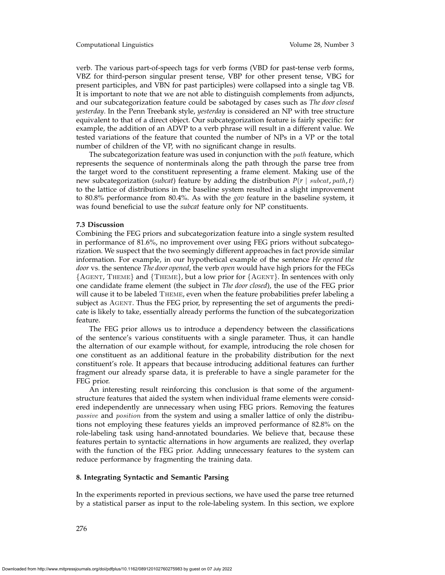verb. The various part-of-speech tags for verb forms (VBD for past-tense verb forms, VBZ for third-person singular present tense, VBP for other present tense, VBG for present participles, and VBN for past participles) were collapsed into a single tag VB. It is important to note that we are not able to distinguish complements from adjuncts, and our subcategorization feature could be sabotaged by cases such as *The door closed yesterday*. In the Penn Treebank style, *yesterday* is considered an NP with tree structure equivalent to that of a direct object. Our subcategorization feature is fairly specific: for example, the addition of an ADVP to a verb phrase will result in a different value. We tested variations of the feature that counted the number of NPs in a VP or the total number of children of the VP, with no significant change in results.

The subcategorization feature was used in conjunction with the  $path$  feature, which represents the sequence of nonterminals along the path through the parse tree from the target word to the constituent representing a frame element. Making use of the new subcategorization (*subcat*) feature by adding the distribution  $P(r | subset, path, t)$ to the lattice of distributions in the baseline system resulted in a slight improvement to 80.8% performance from 80.4%. As with the *gov* feature in the baseline system, it was found beneficial to use the *subcat* feature only for NP constituents.

### **7.3 Discussion**

Combining the FEG priors and subcategorization feature into a single system resulted in performance of 81.6%, no improvement over using FEG priors without subcategorization. We suspect that the two seemingly different approaches in fact provide similar information. For example, in our hypothetical example of the sentence *He opened the door* vs. the sentence *The door opened*, the verb *open* would have high priors for the FEGs  ${ \text{AGENT}, \text{THEME} }$  and  ${ \text{THEME}, \text{but a low prior for } { \text{AGENT}}.}$  In sentences with only one candidate frame element (the subject in *The door closed*), the use of the FEG prior will cause it to be labeled Theme, even when the feature probabilities prefer labeling a subject as AGENT. Thus the FEG prior, by representing the set of arguments the predicate is likely to take, essentially already performs the function of the subcategorization feature.

The FEG prior allows us to introduce a dependency between the classifications of the sentence's various constituents with a single parameter. Thus, it can handle the alternation of our example without, for example, introducing the role chosen for one constituent as an additional feature in the probability distribution for the next constituent's role. It appears that because introducing additional features can further fragment our already sparse data, it is preferable to have a single parameter for the FEG prior.

An interesting result reinforcing this conclusion is that some of the argumentstructure features that aided the system when individual frame elements were considered independently are unnecessary when using FEG priors. Removing the features passive and position from the system and using a smaller lattice of only the distributions not employing these features yields an improved performance of 82.8% on the role-labeling task using hand-annotated boundaries. We believe that, because these features pertain to syntactic alternations in how arguments are realized, they overlap with the function of the FEG prior. Adding unnecessary features to the system can reduce performance by fragmenting the training data.

#### **8. Integrating Syntactic and Semantic Parsing**

In the experiments reported in previous sections, we have used the parse tree returned by a statistical parser as input to the role-labeling system. In this section, we explore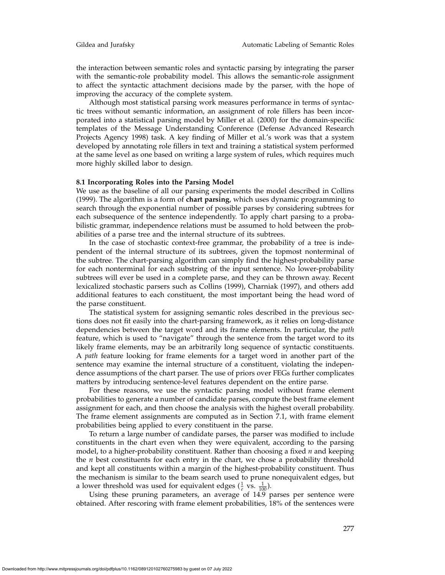the interaction between semantic roles and syntactic parsing by integrating the parser with the semantic-role probability model. This allows the semantic-role assignment to affect the syntactic attachment decisions made by the parser, with the hope of improving the accuracy of the complete system.

Although most statistical parsing work measures performance in terms of syntactic trees without semantic information, an assignment of role fillers has been incorporated into a statistical parsing model by Miller et al. (2000) for the domain-specific templates of the Message Understanding Conference (Defense Advanced Research Projects Agency 1998) task. A key finding of Miller et al.'s work was that a system developed by annotating role fillers in text and training a statistical system performed at the same level as one based on writing a large system of rules, which requires much more highly skilled labor to design.

#### **8.1 Incorporating Roles into the Parsing Model**

We use as the baseline of all our parsing experiments the model described in Collins (1999). The algorithm is a form of **chart parsing**, which uses dynamic programming to search through the exponential number of possible parses by considering subtrees for each subsequence of the sentence independently. To apply chart parsing to a probabilistic grammar, independence relations must be assumed to hold between the probabilities of a parse tree and the internal structure of its subtrees.

In the case of stochastic context-free grammar, the probability of a tree is independent of the internal structure of its subtrees, given the topmost nonterminal of the subtree. The chart-parsing algorithm can simply find the highest-probability parse for each nonterminal for each substring of the input sentence. No lower-probability subtrees will ever be used in a complete parse, and they can be thrown away. Recent lexicalized stochastic parsers such as Collins (1999), Charniak (1997), and others add additional features to each constituent, the most important being the head word of the parse constituent.

The statistical system for assigning semantic roles described in the previous sections does not fit easily into the chart-parsing framework, as it relies on long-distance dependencies between the target word and its frame elements. In particular, the *path* feature, which is used to "navigate" through the sentence from the target word to its likely frame elements, may be an arbitrarily long sequence of syntactic constituents. A *path* feature looking for frame elements for a target word in another part of the sentence may examine the internal structure of a constituent, violating the independence assumptions of the chart parser. The use of priors over FEGs further complicates matters by introducing sentence-level features dependent on the entire parse.

For these reasons, we use the syntactic parsing model without frame element probabilities to generate a number of candidate parses, compute the best frame element assignment for each, and then choose the analysis with the highest overall probability. The frame element assignments are computed as in Section 7.1, with frame element probabilities being applied to every constituent in the parse.

To return a large number of candidate parses, the parser was modified to include constituents in the chart even when they were equivalent, according to the parsing model, to a higher-probability constituent. Rather than choosing a fixed *n* and keeping the *n* best constituents for each entry in the chart, we chose a probability threshold and kept all constituents within a margin of the highest-probability constituent. Thus the mechanism is similar to the beam search used to prune nonequivalent edges, but a lower threshold was used for equivalent edges  $(\frac{1}{e} \text{ vs. } \frac{1}{100})$ .

Using these pruning parameters, an average of 14.9 parses per sentence were obtained. After rescoring with frame element probabilities, 18% of the sentences were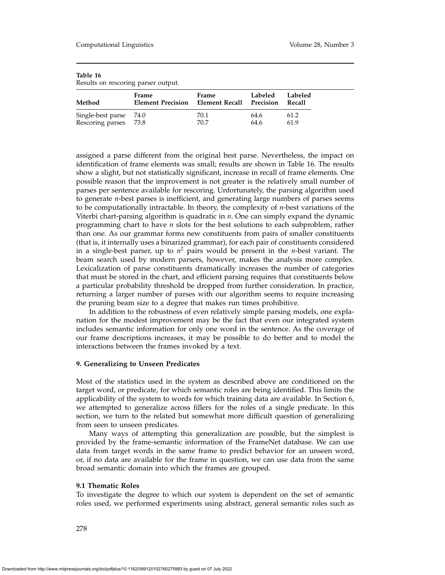Results on rescoring parser output.

| Method                | <b>Frame</b><br><b>Element Precision</b> | Frame<br>Element Recall Precision Recall | Labeled | Labeled |
|-----------------------|------------------------------------------|------------------------------------------|---------|---------|
| Single-best parse     | 74.0                                     | 70.1                                     | 64.6    | 61.2    |
| Rescoring parses 73.8 |                                          | 70.7                                     | 64.6    | 61.9    |

assigned a parse different from the original best parse. Nevertheless, the impact on identification of frame elements was small; results are shown in Table 16. The results show a slight, but not statistically significant, increase in recall of frame elements. One possible reason that the improvement is not greater is the relatively small number of parses per sentence available for rescoring. Unfortunately, the parsing algorithm used to generate *n*-best parses is inefficient, and generating large numbers of parses seems to be computationally intractable. In theory, the complexity of *n*-best variations of the Viterbi chart-parsing algorithm is quadratic in *n*. One can simply expand the dynamic programming chart to have *n* slots for the best solutions to each subproblem, rather than one. As our grammar forms new constituents from pairs of smaller constituents (that is, it internally uses a binarized grammar), for each pair of constituents considered in a single-best parser, up to  $n^2$  pairs would be present in the *n*-best variant. The beam search used by modern parsers, however, makes the analysis more complex. Lexicalization of parse constituents dramatically increases the number of categories that must be stored in the chart, and efficient parsing requires that constituents below a particular probability threshold be dropped from further consideration. In practice, returning a larger number of parses with our algorithm seems to require increasing the pruning beam size to a degree that makes run times prohibitive.

In addition to the robustness of even relatively simple parsing models, one explanation for the modest improvement may be the fact that even our integrated system includes semantic information for only one word in the sentence. As the coverage of our frame descriptions increases, it may be possible to do better and to model the interactions between the frames invoked by a text.

### **9. Generalizing to Unseen Predicates**

Most of the statistics used in the system as described above are conditioned on the target word, or predicate, for which semantic roles are being identified. This limits the applicability of the system to words for which training data are available. In Section 6, we attempted to generalize across fillers for the roles of a single predicate. In this section, we turn to the related but somewhat more difficult question of generalizing from seen to unseen predicates.

Many ways of attempting this generalization are possible, but the simplest is provided by the frame-semantic information of the FrameNet database. We can use data from target words in the same frame to predict behavior for an unseen word, or, if no data are available for the frame in question, we can use data from the same broad semantic domain into which the frames are grouped.

### **9.1 Thematic Roles**

To investigate the degree to which our system is dependent on the set of semantic roles used, we performed experiments using abstract, general semantic roles such as

278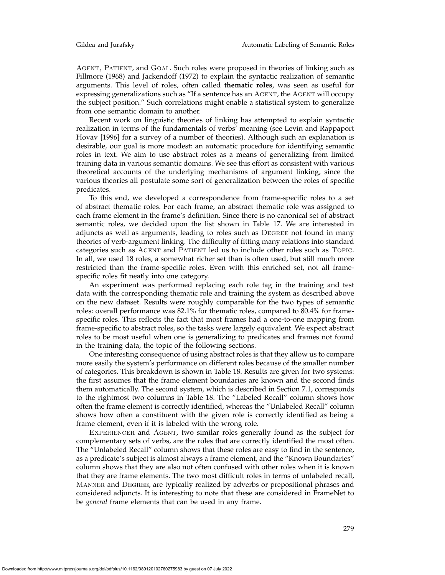Agent, Patient, and Goal. Such roles were proposed in theories of linking such as Fillmore (1968) and Jackendoff (1972) to explain the syntactic realization of semantic arguments. This level of roles, often called **thematic roles**, was seen as useful for expressing generalizations such as "If a sentence has an AGENT, the AGENT will occupy the subject position." Such correlations might enable a statistical system to generalize from one semantic domain to another.

Recent work on linguistic theories of linking has attempted to explain syntactic realization in terms of the fundamentals of verbs' meaning (see Levin and Rappaport Hovav [1996] for a survey of a number of theories). Although such an explanation is desirable, our goal is more modest: an automatic procedure for identifying semantic roles in text. We aim to use abstract roles as a means of generalizing from limited training data in various semantic domains. We see this effort as consistent with various theoretical accounts of the underlying mechanisms of argument linking, since the various theories all postulate some sort of generalization between the roles of specific predicates.

To this end, we developed a correspondence from frame-specific roles to a set of abstract thematic roles. For each frame, an abstract thematic role was assigned to each frame element in the frame's definition. Since there is no canonical set of abstract semantic roles, we decided upon the list shown in Table 17. We are interested in adjuncts as well as arguments, leading to roles such as Degree not found in many theories of verb-argument linking. The difficulty of fitting many relations into standard categories such as AGENT and PATIENT led us to include other roles such as TOPIC. In all, we used 18 roles, a somewhat richer set than is often used, but still much more restricted than the frame-specific roles. Even with this enriched set, not all framespecific roles fit neatly into one category.

An experiment was performed replacing each role tag in the training and test data with the corresponding thematic role and training the system as described above on the new dataset. Results were roughly comparable for the two types of semantic roles: overall performance was 82.1% for thematic roles, compared to 80.4% for framespecific roles. This reflects the fact that most frames had a one-to-one mapping from frame-specific to abstract roles, so the tasks were largely equivalent. We expect abstract roles to be most useful when one is generalizing to predicates and frames not found in the training data, the topic of the following sections.

One interesting consequence of using abstract roles is that they allow us to compare more easily the system's performance on different roles because of the smaller number of categories. This breakdown is shown in Table 18. Results are given for two systems: the first assumes that the frame element boundaries are known and the second finds them automatically. The second system, which is described in Section 7.1, corresponds to the rightmost two columns in Table 18. The "Labeled Recall" column shows how often the frame element is correctly identified, whereas the "Unlabeled Recall" column shows how often a constituent with the given role is correctly identified as being a frame element, even if it is labeled with the wrong role.

EXPERIENCER and AGENT, two similar roles generally found as the subject for complementary sets of verbs, are the roles that are correctly identified the most often. The "Unlabeled Recall" column shows that these roles are easy to find in the sentence, as a predicate's subject is almost always a frame element, and the "Known Boundaries" column shows that they are also not often confused with other roles when it is known that they are frame elements. The two most difficult roles in terms of unlabeled recall, MANNER and DEGREE, are typically realized by adverbs or prepositional phrases and considered adjuncts. It is interesting to note that these are considered in FrameNet to be *general* frame elements that can be used in any frame.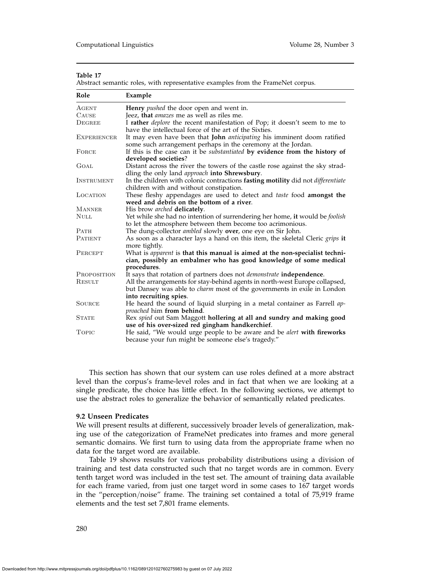Abstract semantic roles, with representative examples from the FrameNet corpus.

| Role               | Example                                                                                                                                                                |
|--------------------|------------------------------------------------------------------------------------------------------------------------------------------------------------------------|
| <b>AGENT</b>       | <b>Henry</b> <i>pushed</i> the door open and went in.                                                                                                                  |
| <b>CAUSE</b>       | Jeez, that <i>amazes</i> me as well as riles me.                                                                                                                       |
| DEGREE             | I rather deplore the recent manifestation of Pop; it doesn't seem to me to<br>have the intellectual force of the art of the Sixties.                                   |
| <b>EXPERIENCER</b> | It may even have been that John anticipating his imminent doom ratified<br>some such arrangement perhaps in the ceremony at the Jordan.                                |
| FORCE              | If this is the case can it be <i>substantiated</i> by evidence from the history of                                                                                     |
|                    | developed societies?                                                                                                                                                   |
| GOAL               | Distant across the river the towers of the castle rose against the sky strad-<br>dling the only land approach into Shrewsbury.                                         |
| <b>INSTRUMENT</b>  | In the children with colonic contractions fasting motility did not differentiate<br>children with and without constipation.                                            |
| LOCATION           | These fleshy appendages are used to detect and <i>taste</i> food <b>amongst the</b><br>weed and debris on the bottom of a river.                                       |
| <b>MANNER</b>      | His brow arched delicately.                                                                                                                                            |
| <b>NULL</b>        | Yet while she had no intention of surrendering her home, it would be foolish<br>to let the atmosphere between them become too acrimonious.                             |
| <b>PATH</b>        | The dung-collector <i>ambled</i> slowly over, one eye on Sir John.                                                                                                     |
| PATIENT            | As soon as a character lays a hand on this item, the skeletal Cleric grips it<br>more tightly.                                                                         |
| PERCEPT            | What is <i>apparent</i> is that this manual is aimed at the non-specialist techni-<br>cian, possibly an embalmer who has good knowledge of some medical<br>procedures. |
| PROPOSITION        | It says that rotation of partners does not <i>demonstrate</i> independence.                                                                                            |
| <b>RESULT</b>      | All the arrangements for stay-behind agents in north-west Europe collapsed,<br>but Dansey was able to <i>charm</i> most of the governments in exile in London          |
|                    | into recruiting spies.                                                                                                                                                 |
| <b>SOURCE</b>      | He heard the sound of liquid slurping in a metal container as Farrell ap-<br><i>proached</i> him from behind.                                                          |
| <b>STATE</b>       | Rex spied out Sam Maggott hollering at all and sundry and making good<br>use of his over-sized red gingham handkerchief.                                               |
| TOPIC              | He said, "We would urge people to be aware and be <i>alert</i> with fireworks<br>because your fun might be someone else's tragedy."                                    |

This section has shown that our system can use roles defined at a more abstract level than the corpus's frame-level roles and in fact that when we are looking at a single predicate, the choice has little effect. In the following sections, we attempt to use the abstract roles to generalize the behavior of semantically related predicates.

### **9.2 Unseen Predicates**

We will present results at different, successively broader levels of generalization, making use of the categorization of FrameNet predicates into frames and more general semantic domains. We first turn to using data from the appropriate frame when no data for the target word are available.

Table 19 shows results for various probability distributions using a division of training and test data constructed such that no target words are in common. Every tenth target word was included in the test set. The amount of training data available for each frame varied, from just one target word in some cases to 167 target words in the "perception/noise" frame. The training set contained a total of 75,919 frame elements and the test set 7,801 frame elements.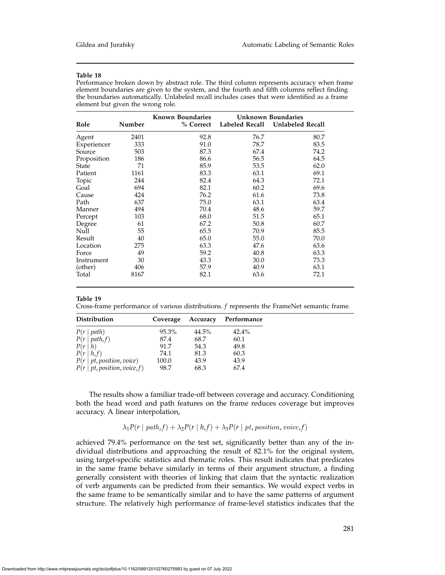Performance broken down by abstract role. The third column represents accuracy when frame element boundaries are given to the system, and the fourth and fifth columns reflect finding the boundaries automatically. Unlabeled recall includes cases that were identified as a frame element but given the wrong role.

|             | <b>Known Boundaries</b><br>Unknown Boundaries |           |      |                                 |
|-------------|-----------------------------------------------|-----------|------|---------------------------------|
| Role        | Number                                        | % Correct |      | Labeled Recall Unlabeled Recall |
| Agent       | 2401                                          | 92.8      | 76.7 | 80.7                            |
| Experiencer | 333                                           | 91.0      | 78.7 | 83.5                            |
| Source      | 503                                           | 87.3      | 67.4 | 74.2                            |
| Proposition | 186                                           | 86.6      | 56.5 | 64.5                            |
| State       | 71                                            | 85.9      | 53.5 | 62.0                            |
| Patient     | 1161                                          | 83.3      | 63.1 | 69.1                            |
| Topic       | 244                                           | 82.4      | 64.3 | 72.1                            |
| Goal        | 694                                           | 82.1      | 60.2 | 69.6                            |
| Cause       | 424                                           | 76.2      | 61.6 | 73.8                            |
| Path        | 637                                           | 75.0      | 63.1 | 63.4                            |
| Manner      | 494                                           | 70.4      | 48.6 | 59.7                            |
| Percept     | 103                                           | 68.0      | 51.5 | 65.1                            |
| Degree      | 61                                            | 67.2      | 50.8 | 60.7                            |
| Null        | 55                                            | 65.5      | 70.9 | 85.5                            |
| Result      | 40                                            | 65.0      | 55.0 | 70.0                            |
| Location    | 275                                           | 63.3      | 47.6 | 63.6                            |
| Force       | 49                                            | 59.2      | 40.8 | 63.3                            |
| Instrument  | 30                                            | 43.3      | 30.0 | 73.3                            |
| (other)     | 406                                           | 57.9      | 40.9 | 63.1                            |
| Total       | 8167                                          | 82.1      | 63.6 | 72.1                            |

# **Table 19**

Cross-frame performance of various distributions. *f* represents the FrameNet semantic frame.

| <b>Distribution</b>           | Coverage | Accuracy | Performance |
|-------------------------------|----------|----------|-------------|
| P(r   path)                   | 95.3%    | 44.5%    | 42.4%       |
| P(r   path, f)                | 87.4     | 68.7     | 60.1        |
| P(r h)                        | 91.7     | 54.3     | 49.8        |
| P(r h,f)                      | 74.1     | 81.3     | 60.3        |
| P(r   pt, position, voice)    | 100.0    | 43.9     | 43.9        |
| P(r   pt, position, voice, f) | 98.7     | 68.3     | 67.4        |

The results show a familiar trade-off between coverage and accuracy. Conditioning both the head word and path features on the frame reduces coverage but improves accuracy. A linear interpolation,

$$
\lambda_1 P(r \mid path, f) + \lambda_2 P(r \mid h, f) + \lambda_3 P(r \mid pt, position, voice, f)
$$

achieved 79.4% performance on the test set, significantly better than any of the individual distributions and approaching the result of 82.1% for the original system, using target-specific statistics and thematic roles. This result indicates that predicates in the same frame behave similarly in terms of their argument structure, a finding generally consistent with theories of linking that claim that the syntactic realization of verb arguments can be predicted from their semantics. We would expect verbs in the same frame to be semantically similar and to have the same patterns of argument structure. The relatively high performance of frame-level statistics indicates that the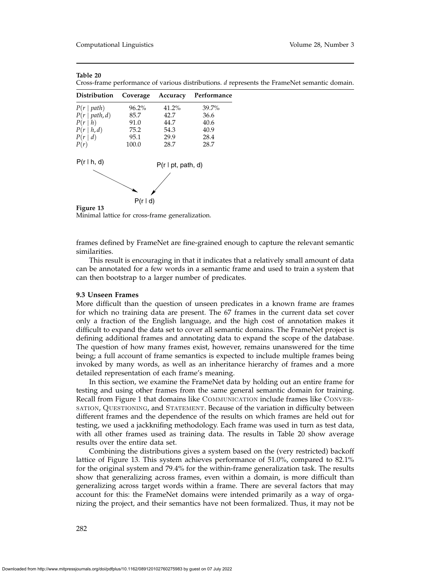Cross-frame performance of various distributions. *d* represents the FrameNet semantic domain.

| Distribution   | Coverage | Accuracy           | Performance |
|----------------|----------|--------------------|-------------|
| P(r   path)    | 96.2%    | 41.2%              | 39.7%       |
| P(r   path, d) | 85.7     | 42.7               | 36.6        |
| P(r h)         | 91.0     | 44.7               | 40.6        |
| P(r   h, d)    | 75.2     | 54.3               | 40.9        |
| P(r   d)       | 95.1     | 29.9               | 28.4        |
| P(r)           | 100.0    | 28.7               | 28.7        |
| P(r h, d)      |          | P(r   pt, path, d) |             |
|                |          |                    |             |
|                |          |                    |             |

 $P(r | d)$ **Figure 13** Minimal lattice for cross-frame generalization.

frames defined by FrameNet are fine-grained enough to capture the relevant semantic similarities.

This result is encouraging in that it indicates that a relatively small amount of data can be annotated for a few words in a semantic frame and used to train a system that can then bootstrap to a larger number of predicates.

#### **9.3 Unseen Frames**

More difficult than the question of unseen predicates in a known frame are frames for which no training data are present. The 67 frames in the current data set cover only a fraction of the English language, and the high cost of annotation makes it difficult to expand the data set to cover all semantic domains. The FrameNet project is defining additional frames and annotating data to expand the scope of the database. The question of how many frames exist, however, remains unanswered for the time being; a full account of frame semantics is expected to include multiple frames being invoked by many words, as well as an inheritance hierarchy of frames and a more detailed representation of each frame's meaning.

In this section, we examine the FrameNet data by holding out an entire frame for testing and using other frames from the same general semantic domain for training. Recall from Figure 1 that domains like Communication include frames like Conversation, Questioning, and Statement. Because of the variation in difficulty between different frames and the dependence of the results on which frames are held out for testing, we used a jackknifing methodology. Each frame was used in turn as test data, with all other frames used as training data. The results in Table 20 show average results over the entire data set.

Combining the distributions gives a system based on the (very restricted) backoff lattice of Figure 13. This system achieves performance of 51.0%, compared to 82.1% for the original system and 79.4% for the within-frame generalization task. The results show that generalizing across frames, even within a domain, is more difficult than generalizing across target words within a frame. There are several factors that may account for this: the FrameNet domains were intended primarily as a way of organizing the project, and their semantics have not been formalized. Thus, it may not be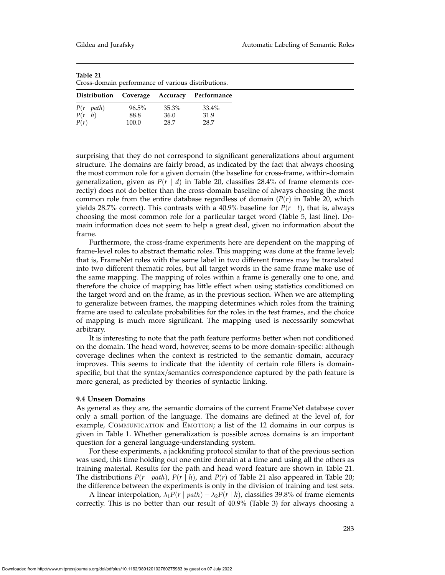| Table 21                                           |
|----------------------------------------------------|
| Cross-domain performance of various distributions. |
|                                                    |

| Distribution Coverage Accuracy Performance |          |       |       |  |
|--------------------------------------------|----------|-------|-------|--|
| P(r   path)                                | $96.5\%$ | 35.3% | 33.4% |  |
| $\frac{P(r \mid h)}{P(r)}$                 | 88.8     | 36.0  | 31.9  |  |
|                                            | 100.0    | 28.7  | 28.7  |  |

surprising that they do not correspond to significant generalizations about argument structure. The domains are fairly broad, as indicated by the fact that always choosing the most common role for a given domain (the baseline for cross-frame, within-domain generalization, given as  $P(r | d)$  in Table 20, classifies 28.4% of frame elements correctly) does not do better than the cross-domain baseline of always choosing the most common role from the entire database regardless of domain  $(P(r))$  in Table 20, which yields 28.7% correct). This contrasts with a 40.9% baseline for  $P(r | t)$ , that is, always choosing the most common role for a particular target word (Table 5, last line). Domain information does not seem to help a great deal, given no information about the frame.

Furthermore, the cross-frame experiments here are dependent on the mapping of frame-level roles to abstract thematic roles. This mapping was done at the frame level; that is, FrameNet roles with the same label in two different frames may be translated into two different thematic roles, but all target words in the same frame make use of the same mapping. The mapping of roles within a frame is generally one to one, and therefore the choice of mapping has little effect when using statistics conditioned on the target word and on the frame, as in the previous section. When we are attempting to generalize between frames, the mapping determines which roles from the training frame are used to calculate probabilities for the roles in the test frames, and the choice of mapping is much more significant. The mapping used is necessarily somewhat arbitrary.

It is interesting to note that the path feature performs better when not conditioned on the domain. The head word, however, seems to be more domain-specific: although coverage declines when the context is restricted to the semantic domain, accuracy improves. This seems to indicate that the identity of certain role fillers is domainspecific, but that the syntax/semantics correspondence captured by the path feature is more general, as predicted by theories of syntactic linking.

### **9.4 Unseen Domains**

As general as they are, the semantic domains of the current FrameNet database cover only a small portion of the language. The domains are defined at the level of, for example, COMMUNICATION and EMOTION; a list of the 12 domains in our corpus is given in Table 1. Whether generalization is possible across domains is an important question for a general language-understanding system.

For these experiments, a jackknifing protocol similar to that of the previous section was used, this time holding out one entire domain at a time and using all the others as training material. Results for the path and head word feature are shown in Table 21. The distributions  $P(r | path)$ ,  $P(r | h)$ , and  $P(r)$  of Table 21 also appeared in Table 20; the difference between the experiments is only in the division of training and test sets.

A linear interpolation,  $\lambda_1 P(r \mid path) + \lambda_2 P(r \mid h)$ , classifies 39.8% of frame elements correctly. This is no better than our result of 40.9% (Table 3) for always choosing a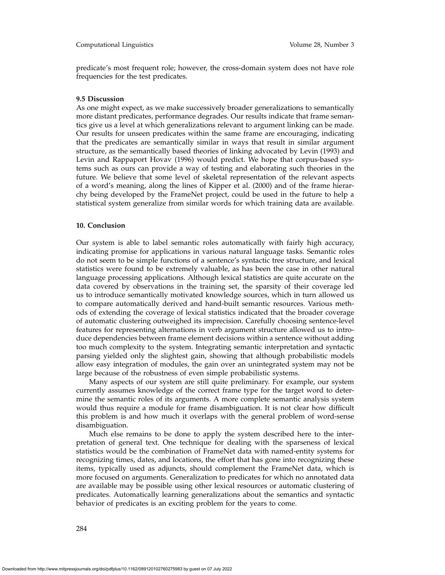predicate's most frequent role; however, the cross-domain system does not have role frequencies for the test predicates.

### **9.5 Discussion**

As one might expect, as we make successively broader generalizations to semantically more distant predicates, performance degrades. Our results indicate that frame semantics give us a level at which generalizations relevant to argument linking can be made. Our results for unseen predicates within the same frame are encouraging, indicating that the predicates are semantically similar in ways that result in similar argument structure, as the semantically based theories of linking advocated by Levin (1993) and Levin and Rappaport Hovav (1996) would predict. We hope that corpus-based systems such as ours can provide a way of testing and elaborating such theories in the future. We believe that some level of skeletal representation of the relevant aspects of a word's meaning, along the lines of Kipper et al. (2000) and of the frame hierarchy being developed by the FrameNet project, could be used in the future to help a statistical system generalize from similar words for which training data are available.

#### **10. Conclusion**

Our system is able to label semantic roles automatically with fairly high accuracy, indicating promise for applications in various natural language tasks. Semantic roles do not seem to be simple functions of a sentence's syntactic tree structure, and lexical statistics were found to be extremely valuable, as has been the case in other natural language processing applications. Although lexical statistics are quite accurate on the data covered by observations in the training set, the sparsity of their coverage led us to introduce semantically motivated knowledge sources, which in turn allowed us to compare automatically derived and hand-built semantic resources. Various methods of extending the coverage of lexical statistics indicated that the broader coverage of automatic clustering outweighed its imprecision. Carefully choosing sentence-level features for representing alternations in verb argument structure allowed us to introduce dependencies between frame element decisions within a sentence without adding too much complexity to the system. Integrating semantic interpretation and syntactic parsing yielded only the slightest gain, showing that although probabilistic models allow easy integration of modules, the gain over an unintegrated system may not be large because of the robustness of even simple probabilistic systems.

Many aspects of our system are still quite preliminary. For example, our system currently assumes knowledge of the correct frame type for the target word to determine the semantic roles of its arguments. A more complete semantic analysis system would thus require a module for frame disambiguation. It is not clear how difficult this problem is and how much it overlaps with the general problem of word-sense disambiguation.

Much else remains to be done to apply the system described here to the interpretation of general text. One technique for dealing with the sparseness of lexical statistics would be the combination of FrameNet data with named-entity systems for recognizing times, dates, and locations, the effort that has gone into recognizing these items, typically used as adjuncts, should complement the FrameNet data, which is more focused on arguments. Generalization to predicates for which no annotated data are available may be possible using other lexical resources or automatic clustering of predicates. Automatically learning generalizations about the semantics and syntactic behavior of predicates is an exciting problem for the years to come.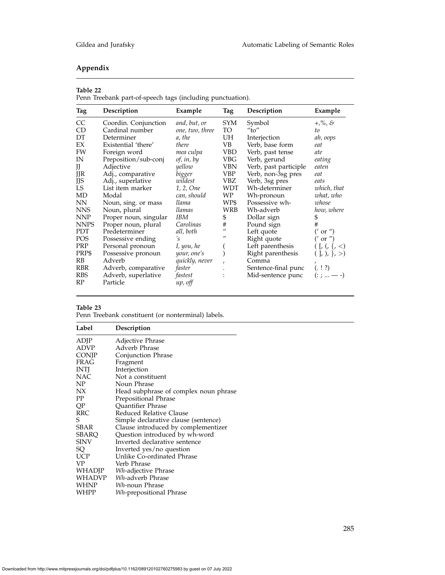# **Appendix**

### **Table 22**

Penn Treebank part-of-speech tags (including punctuation).

| Tag           | Description                        | Example                     | Tag               | Description           | Example         |
|---------------|------------------------------------|-----------------------------|-------------------|-----------------------|-----------------|
| <sub>CC</sub> | Coordin. Conjunction               | and, but, or                | SYM               | Symbol                | $+$ ,%, &       |
| CD            | Cardinal number<br>one, two, three |                             | TO                | "to"                  | to              |
| DT            | Determiner<br>a, the               |                             | UH                | Interjection          | ah, oops        |
| EX            | Existential 'there'                | there                       | VB                | Verb, base form       | eat             |
| FW            | Foreign word                       | mea culpa                   | <b>VBD</b>        | Verb, past tense      | ate             |
| IN            | Preposition/sub-conj               | of, in, by                  | VBG               | Verb, gerund          | eating          |
| JJ            | Adjective                          | yellow                      | VBN               | Verb, past participle | eaten           |
| JJR           | Adj., comparative                  | bigger                      | VBP               | Verb, non-3sg pres    | eat             |
| JJS           | Adj., superlative                  | wildest                     | VBZ               | Verb, 3sg pres        | eats            |
| LS            | List item marker                   | 1, 2, One                   | <b>WDT</b>        | Wh-determiner         | which, that     |
| MD            | Modal                              | can, should                 | WP                | Wh-pronoun            | what, who       |
| <b>NN</b>     | Noun, sing. or mass                | llama                       | WP\$              | Possessive wh-        | whose           |
| <b>NNS</b>    | Noun, plural                       | llamas                      | WRB               | Wh-adverb             | how, where      |
| <b>NNP</b>    | Proper noun, singular              | IBM                         | \$                | Dollar sign           | \$              |
| <b>NNPS</b>   | Proper noun, plural                | Carolinas                   | #                 | Pound sign            | #               |
| PDT           | Predeterminer                      | all, both                   | $\prime\prime$    | Left quote            | $('$ or $'')$   |
| <b>POS</b>    | Possessive ending                  | $\mathcal{L}_{\mathcal{S}}$ | $^{\prime\prime}$ | Right quote           | $('$ or $'')$   |
| PRP           | Personal pronoun                   | I, you, he                  |                   | Left parenthesis      | (L (3, 3, 3))   |
| PRP\$         | Possessive pronoun                 | your, one's                 |                   | Right parenthesis     | $($ ], ), }, >) |
| RB            | Adverb                             | quickly, never              | $\lambda$         | Comma                 |                 |
| <b>RBR</b>    | Adverb, comparative                | faster                      |                   | Sentence-final punc   | (. 1 ?)         |
| <b>RBS</b>    | Adverb, superlative                | fastest                     |                   | Mid-sentence punc     | $(:;--)$        |
| RP            | Particle                           | up, off                     |                   |                       |                 |

**Table 23**

Penn Treebank constituent (or nonterminal) labels.

| Label       | Description                           |
|-------------|---------------------------------------|
| ADJP        | Adjective Phrase                      |
| ADVP        | Adverb Phrase                         |
| CONJP       | Conjunction Phrase                    |
| FRAG        | Fragment                              |
| <b>INTI</b> | Interjection                          |
| NAC         | Not a constituent                     |
| NP          | Noun Phrase                           |
| NX.         | Head subphrase of complex noun phrase |
| PP          | Prepositional Phrase                  |
| QP          | Quantifier Phrase                     |
| RRC         | Reduced Relative Clause               |
| S           | Simple declarative clause (sentence)  |
| SBAR        | Clause introduced by complementizer   |
| SBARO       | Question introduced by wh-word        |
| SINV        | Inverted declarative sentence         |
| SQ          | Inverted yes/no question              |
| UCP         | Unlike Co-ordinated Phrase            |
| VP          | Verb Phrase                           |
| WHADJP      | <i>Wh</i> -adjective Phrase           |
| WHADVP      | <i>Wh</i> -adverb Phrase              |
| WHNP        | <i>Wh</i> -noun Phrase                |
| WHPP        | <i>Wh-prepositional Phrase</i>        |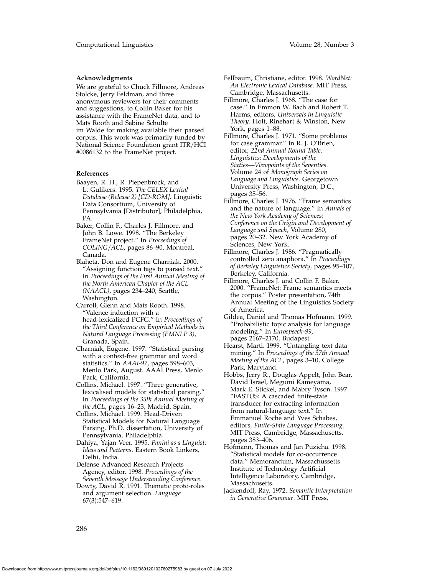#### **Acknowledgments**

We are grateful to Chuck Fillmore, Andreas Stolcke, Jerry Feldman, and three anonymous reviewers for their comments and suggestions, to Collin Baker for his assistance with the FrameNet data, and to Mats Rooth and Sabine Schulte im Walde for making available their parsed corpus. This work was primarily funded by National Science Foundation grant ITR/HCI #0086132 to the FrameNet project.

#### **References**

- Baayen, R. H., R. Piepenbrock, and L. Gulikers. 1995. *The CELEX Lexical Database (Release 2) [CD-ROM]*. Linguistic Data Consortium, University of Pennsylvania [Distributor], Philadelphia, PA.
- Baker, Collin F., Charles J. Fillmore, and John B. Lowe. 1998. "The Berkeley FrameNet project." In *Proceedings of COLING*/*ACL*, pages 86–90, Montreal, Canada.
- Blaheta, Don and Eugene Charniak. 2000. "Assigning function tags to parsed text." In *Proceedings of the First Annual Meeting of the North American Chapter of the ACL (NAACL)*, pages 234–240, Seattle, Washington.
- Carroll, Glenn and Mats Rooth. 1998. "Valence induction with a head-lexicalized PCFG." In *Proceedings of the Third Conference on Empirical Methods in Natural Language Processing (EMNLP 3)*, Granada, Spain.
- Charniak, Eugene. 1997. "Statistical parsing with a context-free grammar and word statistics." In *AAAI-97*, pages 598–603, Menlo Park, August. AAAI Press, Menlo Park, California.
- Collins, Michael. 1997. "Three generative, lexicalised models for statistical parsing." In *Proceedings of the 35th Annual Meeting of the ACL*, pages 16–23, Madrid, Spain.
- Collins, Michael. 1999. Head-Driven Statistical Models for Natural Language Parsing. Ph.D. dissertation, University of Pennsylvania, Philadelphia.
- Dahiya, Yajan Veer. 1995. *Panini as a Linguist: Ideas and Patterns*. Eastern Book Linkers, Delhi, India.
- Defense Advanced Research Projects Agency, editor. 1998. *Proceedings of the Seventh Message Understanding Conference*.
- Dowty, David R. 1991. Thematic proto-roles and argument selection. *Language* 67(3):547–619.
- Fellbaum, Christiane, editor. 1998. *WordNet: An Electronic Lexical Database*. MIT Press, Cambridge, Massachusetts.
- Fillmore, Charles J. 1968. "The case for case." In Emmon W. Bach and Robert T. Harms, editors, *Universals in Linguistic Theory*. Holt, Rinehart & Winston, New York, pages 1–88.
- Fillmore, Charles J. 1971. "Some problems for case grammar." In R. J. O'Brien, editor, *22nd Annual Round Table. Linguistics: Developments of the Sixties—Viewpoints of the Seventies*. Volume 24 of *Monograph Series on Language and Linguistics*. Georgetown University Press, Washington, D.C., pages 35–56.
- Fillmore, Charles J. 1976. "Frame semantics and the nature of language." In *Annals of the New York Academy of Sciences: Conference on the Origin and Development of Language and Speech*, Volume 280, pages 20–32. New York Academy of Sciences, New York.
- Fillmore, Charles J. 1986. "Pragmatically controlled zero anaphora." In *Proceedings of Berkeley Linguistics Society*, pages 95–107, Berkeley, California.
- Fillmore, Charles J. and Collin F. Baker. 2000. "FrameNet: Frame semantics meets the corpus." Poster presentation, 74th Annual Meeting of the Linguistics Society of America.
- Gildea, Daniel and Thomas Hofmann. 1999. "Probabilistic topic analysis for language modeling." In *Eurospeech-99*, pages 2167–2170, Budapest.
- Hearst, Marti. 1999. "Untangling text data mining." In *Proceedings of the 37th Annual Meeting of the ACL*, pages 3–10, College Park, Maryland.
- Hobbs, Jerry R., Douglas Appelt, John Bear, David Israel, Megumi Kameyama, Mark E. Stickel, and Mabry Tyson. 1997. "FASTUS: A cascaded finite-state transducer for extracting information from natural-language text." In Emmanuel Roche and Yves Schabes, editors, *Finite-State Language Processing*. MIT Press, Cambridge, Massachusetts, pages 383–406.
- Hofmann, Thomas and Jan Puzicha. 1998. "Statistical models for co-occurrence data." Memorandum, Massachussetts Institute of Technology Artificial Intelligence Laboratory, Cambridge, Massachusetts.
- Jackendoff, Ray. 1972. *Semantic Interpretation in Generative Grammar*. MIT Press,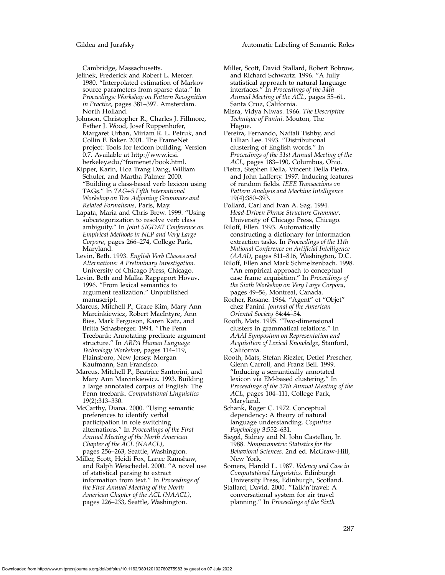Cambridge, Massachusetts.

- Jelinek, Frederick and Robert L. Mercer. 1980. "Interpolated estimation of Markov source parameters from sparse data." In *Proceedings: Workshop on Pattern Recognition in Practice*, pages 381–397. Amsterdam. North Holland.
- Johnson, Christopher R., Charles J. Fillmore, Esther J. Wood, Josef Ruppenhofer, Margaret Urban, Miriam R. L. Petruk, and Collin F. Baker. 2001. The FrameNet project: Tools for lexicon building. Version 0.7. Available at http://www.icsi. berkeley.edu/˜framenet/book.html.

Kipper, Karin, Hoa Trang Dang, William Schuler, and Martha Palmer. 2000. "Building a class-based verb lexicon using TAGs." In *TAG+5 Fifth International Workshop on Tree Adjoining Grammars and Related Formalisms*, Paris, May.

- Lapata, Maria and Chris Brew. 1999. "Using subcategorization to resolve verb class ambiguity." In *Joint SIGDAT Conference on Empirical Methods in NLP and Very Large Corpora*, pages 266–274, College Park, Maryland.
- Levin, Beth. 1993. *English Verb Classes and Alternations: A Preliminary Investigation*. University of Chicago Press, Chicago.

Levin, Beth and Malka Rappaport Hovav. 1996. "From lexical semantics to argument realization." Unpublished manuscript.

- Marcus, Mitchell P., Grace Kim, Mary Ann Marcinkiewicz, Robert MacIntyre, Ann Bies, Mark Ferguson, Karen Katz, and Britta Schasberger. 1994. "The Penn Treebank: Annotating predicate argument structure." In *ARPA Human Language Technology Workshop*, pages 114–119, Plainsboro, New Jersey. Morgan Kaufmann, San Francisco.
- Marcus, Mitchell P., Beatrice Santorini, and Mary Ann Marcinkiewicz. 1993. Building a large annotated corpus of English: The Penn treebank. *Computational Linguistics* 19(2):313–330.

McCarthy, Diana. 2000. "Using semantic preferences to identify verbal participation in role switching alternations." In *Proceedings of the First Annual Meeting of the North American Chapter of the ACL (NAACL)*, pages 256–263, Seattle, Washington.

Miller, Scott, Heidi Fox, Lance Ramshaw, and Ralph Weischedel. 2000. "A novel use of statistical parsing to extract information from text." In *Proceedings of the First Annual Meeting of the North American Chapter of the ACL (NAACL)*, pages 226–233, Seattle, Washington.

- Miller, Scott, David Stallard, Robert Bobrow, and Richard Schwartz. 1996. "A fully statistical approach to natural language interfaces." In *Proceedings of the 34th Annual Meeting of the ACL*, pages 55–61, Santa Cruz, California.
- Misra, Vidya Niwas. 1966. *The Descriptive Technique of Panini*. Mouton, The Hague.
- Pereira, Fernando, Naftali Tishby, and Lillian Lee. 1993. "Distributional clustering of English words." In *Proceedings of the 31st Annual Meeting of the ACL*, pages 183–190, Columbus, Ohio.

Pietra, Stephen Della, Vincent Della Pietra, and John Lafferty. 1997. Inducing features of random fields. *IEEE Transactions on Pattern Analysis and Machine Intelligence* 19(4):380–393.

Pollard, Carl and Ivan A. Sag. 1994. *Head-Driven Phrase Structure Grammar*. University of Chicago Press, Chicago.

- Riloff, Ellen. 1993. Automatically constructing a dictionary for information extraction tasks. In *Proceedings of the 11th National Conference on Artificial Intelligence (AAAI)*, pages 811–816, Washington, D.C.
- Riloff, Ellen and Mark Schmelzenbach. 1998. "An empirical approach to conceptual case frame acquisition." In *Proceedings of the Sixth Workshop on Very Large Corpora*, pages 49–56, Montreal, Canada.
- Rocher, Rosane. 1964. "Agent" et "Objet" chez Panini. *Journal of the American Oriental Society* 84:44–54.
- Rooth, Mats. 1995. "Two-dimensional clusters in grammatical relations." In *AAAI Symposium on Representation and Acquisition of Lexical Knowledge*, Stanford, California.
- Rooth, Mats, Stefan Riezler, Detlef Prescher, Glenn Carroll, and Franz Beil. 1999. "Inducing a semantically annotated lexicon via EM-based clustering." In *Proceedings of the 37th Annual Meeting of the ACL*, pages 104–111, College Park, Maryland.

Schank, Roger C. 1972. Conceptual dependency: A theory of natural language understanding. *Cognitive Psychology* 3:552–631.

- Siegel, Sidney and N. John Castellan, Jr. 1988. *Nonparametric Statistics for the Behavioral Sciences*. 2nd ed. McGraw-Hill, New York.
- Somers, Harold L. 1987. *Valency and Case in Computational Linguistics*. Edinburgh University Press, Edinburgh, Scotland.
- Stallard, David. 2000. "Talk'n'travel: A conversational system for air travel planning." In *Proceedings of the Sixth*